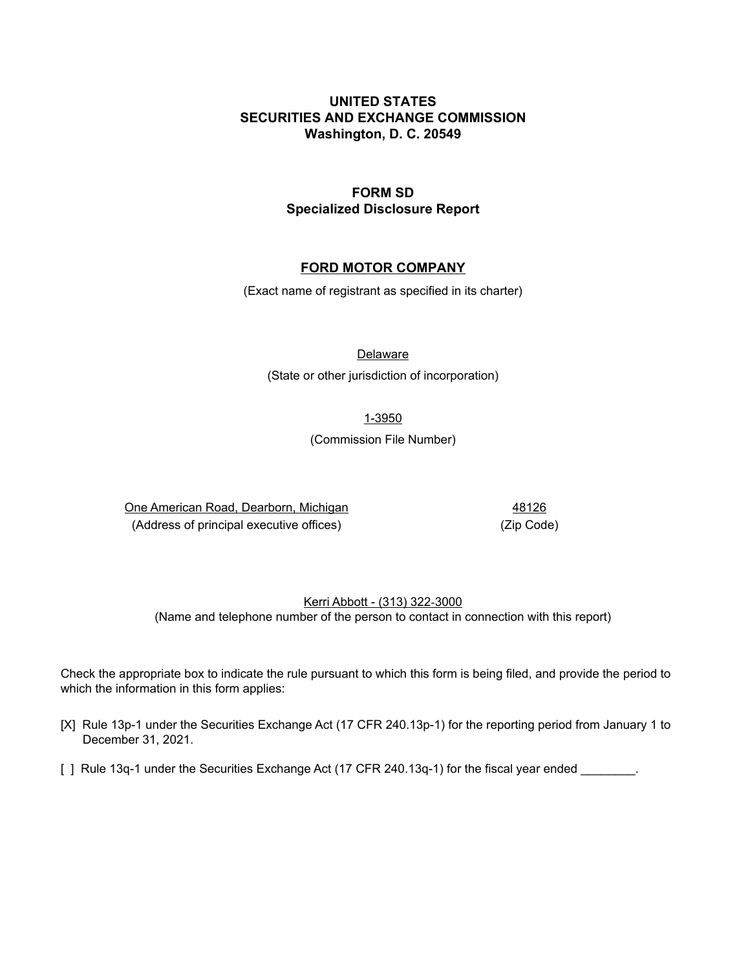# **UNITED STATES SECURITIES AND EXCHANGE COMMISSION Washington, D. C. 20549**

# **FORM SD Specialized Disclosure Report**

# **FORD MOTOR COMPANY**

(Exact name of registrant as specified in its charter)

**Delaware** 

(State or other jurisdiction of incorporation)

1-3950

(Commission File Number)

 One American Road, Dearborn, Michigan 48126 (Address of principal executive offices) (Zip Code)

# Kerri Abbott - (313) 322-3000 (Name and telephone number of the person to contact in connection with this report)

 Check the appropriate box to indicate the rule pursuant to which this form is being filed, and provide the period to which the information in this form applies:

- [X] Rule 13p-1 under the Securities Exchange Act (17 CFR 240.13p-1) for the reporting period from January 1 to December 31, 2021.
- [ ] Rule 13q-1 under the Securities Exchange Act (17 CFR 240.13q-1) for the fiscal year ended \_\_\_\_\_\_\_\_.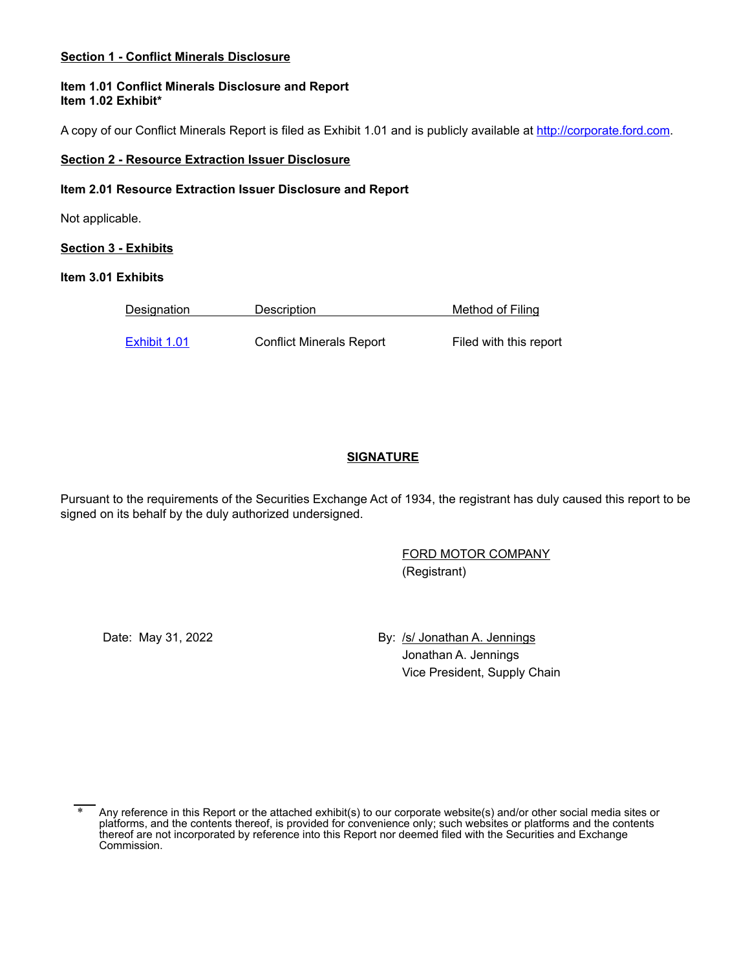#### **Section 1 - Conflict Minerals Disclosure**

#### **Item 1.01 Conflict Minerals Disclosure and Report Item 1.02 Exhibit\***

A copy of our Conflict Minerals Report is filed as Exhibit 1.01 and is publicly available at <u><http://corporate.ford.com></u>.

#### **Section 2 - Resource Extraction Issuer Disclosure**

#### **Item 2.01 Resource Extraction Issuer Disclosure and Report**

Not applicable.

**Section 3 - Exhibits**

#### **Item 3.01 Exhibits**

| <b>Designation</b> | Description                     | Method of Filing       |
|--------------------|---------------------------------|------------------------|
| Exhibit 1.01       | <b>Conflict Minerals Report</b> | Filed with this report |

# **SIGNATURE**

 Pursuant to the requirements of the Securities Exchange Act of 1934, the registrant has duly caused this report to be signed on its behalf by the duly authorized undersigned.

> FORD MOTOR COMPANY (Registrant)

Date: May 31, 2022

 Jonathan A. Jennings By: /s/ Jonathan A. Jennings Vice President, Supply Chain

<sup>\*</sup> Any reference in this Report or the attached exhibit(s) to our corporate website(s) and/or other social media sites or platforms, and the contents thereof, is provided for convenience only; such websites or platforms and the contents thereof are not incorporated by reference into this Report nor deemed filed with the Securities and Exchange Commission.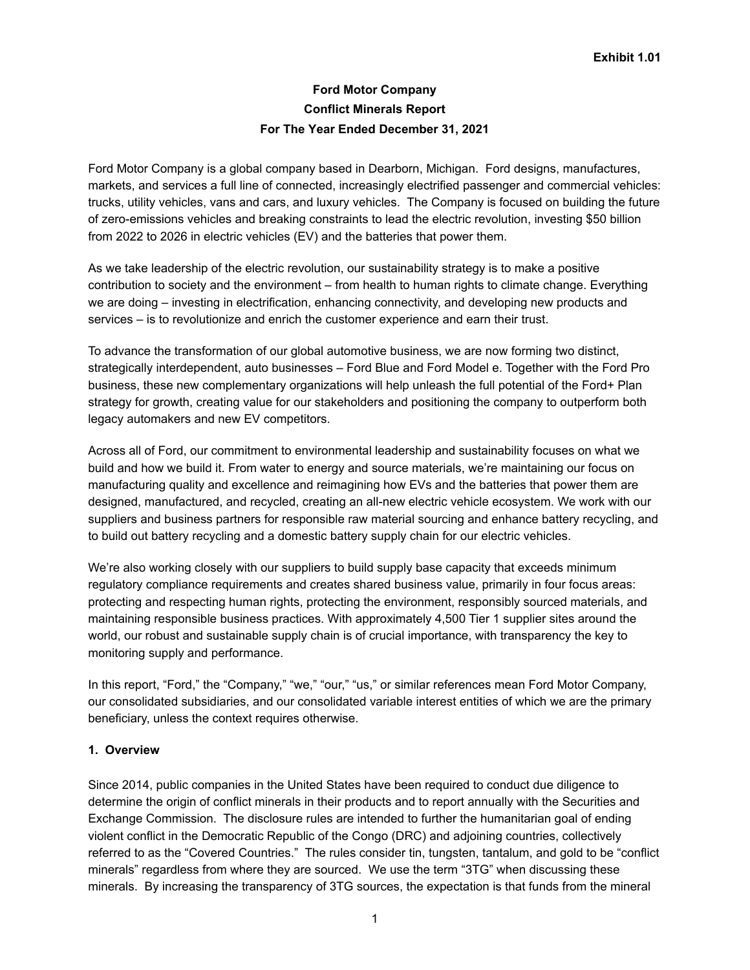# **Ford Motor Company Conflict Minerals Report For The Year Ended December 31, 2021**

 Ford Motor Company is a global company based in Dearborn, Michigan. Ford designs, manufactures, markets, and services a full line of connected, increasingly electrified passenger and commercial vehicles: trucks, utility vehicles, vans and cars, and luxury vehicles. The Company is focused on building the future of zero-emissions vehicles and breaking constraints to lead the electric revolution, investing \$50 billion from 2022 to 2026 in electric vehicles (EV) and the batteries that power them.

 As we take leadership of the electric revolution, our sustainability strategy is to make a positive contribution to society and the environment – from health to human rights to climate change. Everything we are doing – investing in electrification, enhancing connectivity, and developing new products and services – is to revolutionize and enrich the customer experience and earn their trust.

 To advance the transformation of our global automotive business, we are now forming two distinct, strategically interdependent, auto businesses – Ford Blue and Ford Model e. Together with the Ford Pro business, these new complementary organizations will help unleash the full potential of the Ford+ Plan strategy for growth, creating value for our stakeholders and positioning the company to outperform both legacy automakers and new EV competitors.

 Across all of Ford, our commitment to environmental leadership and sustainability focuses on what we build and how we build it. From water to energy and source materials, we're maintaining our focus on manufacturing quality and excellence and reimagining how EVs and the batteries that power them are designed, manufactured, and recycled, creating an all-new electric vehicle ecosystem. We work with our suppliers and business partners for responsible raw material sourcing and enhance battery recycling, and to build out battery recycling and a domestic battery supply chain for our electric vehicles.

 We're also working closely with our suppliers to build supply base capacity that exceeds minimum regulatory compliance requirements and creates shared business value, primarily in four focus areas: protecting and respecting human rights, protecting the environment, responsibly sourced materials, and maintaining responsible business practices. With approximately 4,500 Tier 1 supplier sites around the world, our robust and sustainable supply chain is of crucial importance, with transparency the key to monitoring supply and performance.

 In this report, "Ford," the "Company," "we," "our," "us," or similar references mean Ford Motor Company, our consolidated subsidiaries, and our consolidated variable interest entities of which we are the primary beneficiary, unless the context requires otherwise.

# **1. Overview**

 Since 2014, public companies in the United States have been required to conduct due diligence to determine the origin of conflict minerals in their products and to report annually with the Securities and Exchange Commission. The disclosure rules are intended to further the humanitarian goal of ending violent conflict in the Democratic Republic of the Congo (DRC) and adjoining countries, collectively referred to as the "Covered Countries." The rules consider tin, tungsten, tantalum, and gold to be "conflict minerals" regardless from where they are sourced. We use the term "3TG" when discussing these minerals. By increasing the transparency of 3TG sources, the expectation is that funds from the mineral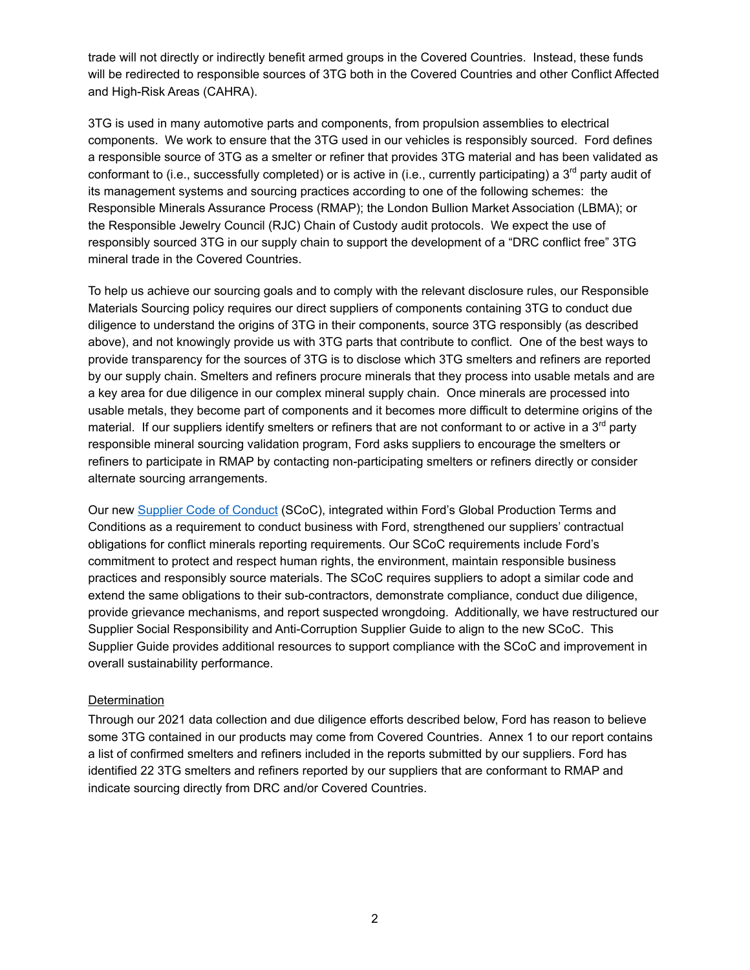trade will not directly or indirectly benefit armed groups in the Covered Countries. Instead, these funds will be redirected to responsible sources of 3TG both in the Covered Countries and other Conflict Affected and High-Risk Areas (CAHRA).

 3TG is used in many automotive parts and components, from propulsion assemblies to electrical components. We work to ensure that the 3TG used in our vehicles is responsibly sourced. Ford defines a responsible source of 3TG as a smelter or refiner that provides 3TG material and has been validated as conformant to (i.e., successfully completed) or is active in (i.e., currently participating) a 3<sup>rd</sup> party audit of its management systems and sourcing practices according to one of the following schemes: the Responsible Minerals Assurance Process (RMAP); the London Bullion Market Association (LBMA); or the Responsible Jewelry Council (RJC) Chain of Custody audit protocols. We expect the use of responsibly sourced 3TG in our supply chain to support the development of a "DRC conflict free" 3TG mineral trade in the Covered Countries.

 To help us achieve our sourcing goals and to comply with the relevant disclosure rules, our Responsible Materials Sourcing policy requires our direct suppliers of components containing 3TG to conduct due diligence to understand the origins of 3TG in their components, source 3TG responsibly (as described above), and not knowingly provide us with 3TG parts that contribute to conflict. One of the best ways to provide transparency for the sources of 3TG is to disclose which 3TG smelters and refiners are reported by our supply chain. Smelters and refiners procure minerals that they process into usable metals and are a key area for due diligence in our complex mineral supply chain. Once minerals are processed into usable metals, they become part of components and it becomes more difficult to determine origins of the material. If our suppliers identify smelters or refiners that are not conformant to or active in a 3<sup>rd</sup> party responsible mineral sourcing validation program, Ford asks suppliers to encourage the smelters or refiners to participate in RMAP by contacting non-participating smelters or refiners directly or consider alternate sourcing arrangements.

Our new <u>Supplier Code of [Conduct](https://corporate.ford.com/operations/governance-and-policies/supplier-code-of-conduct.html)</u> (SCoC), integrated within Ford's Global Production Terms and Conditions as a requirement to conduct business with Ford, strengthened our suppliers' contractual obligations for conflict minerals reporting requirements. Our SCoC requirements include Ford's commitment to protect and respect human rights, the environment, maintain responsible business practices and responsibly source materials. The SCoC requires suppliers to adopt a similar code and extend the same obligations to their sub-contractors, demonstrate compliance, conduct due diligence, provide grievance mechanisms, and report suspected wrongdoing. Additionally, we have restructured our Supplier Social Responsibility and Anti-Corruption Supplier Guide to align to the new SCoC. This Supplier Guide provides additional resources to support compliance with the SCoC and improvement in overall sustainability performance.

# **Determination**

 Through our 2021 data collection and due diligence efforts described below, Ford has reason to believe some 3TG contained in our products may come from Covered Countries. Annex 1 to our report contains a list of confirmed smelters and refiners included in the reports submitted by our suppliers. Ford has identified 22 3TG smelters and refiners reported by our suppliers that are conformant to RMAP and indicate sourcing directly from DRC and/or Covered Countries.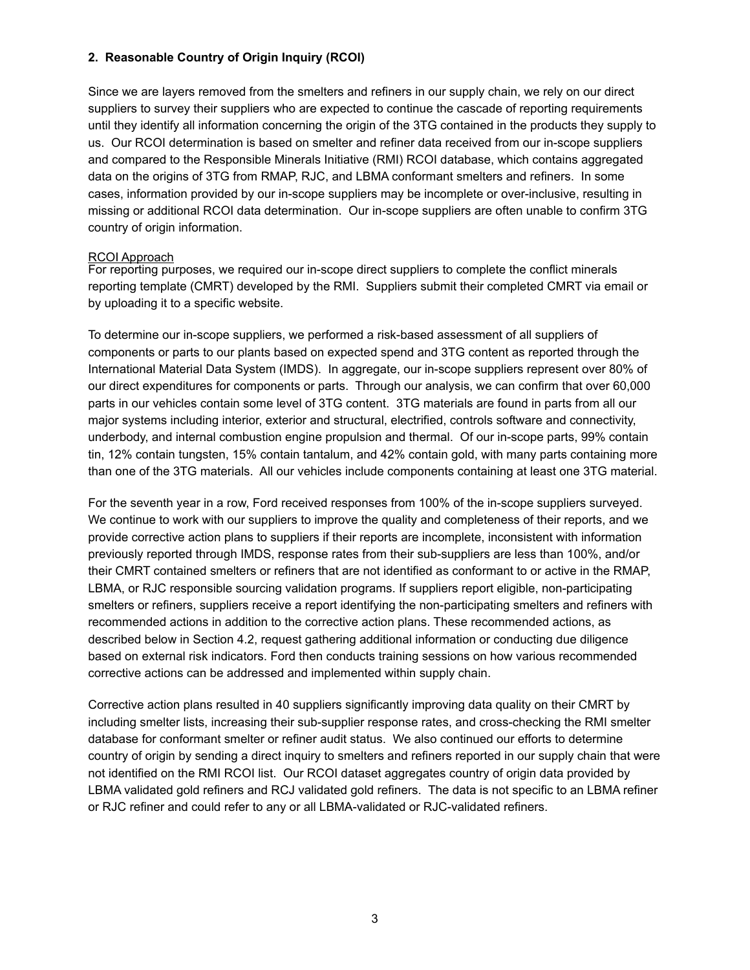# **2. Reasonable Country of Origin Inquiry (RCOI)**

 Since we are layers removed from the smelters and refiners in our supply chain, we rely on our direct suppliers to survey their suppliers who are expected to continue the cascade of reporting requirements until they identify all information concerning the origin of the 3TG contained in the products they supply to us. Our RCOI determination is based on smelter and refiner data received from our in-scope suppliers and compared to the Responsible Minerals Initiative (RMI) RCOI database, which contains aggregated data on the origins of 3TG from RMAP, RJC, and LBMA conformant smelters and refiners. In some cases, information provided by our in-scope suppliers may be incomplete or over-inclusive, resulting in missing or additional RCOI data determination. Our in-scope suppliers are often unable to confirm 3TG country of origin information.

#### RCOI Approach

 For reporting purposes, we required our in-scope direct suppliers to complete the conflict minerals reporting template (CMRT) developed by the RMI. Suppliers submit their completed CMRT via email or by uploading it to a specific website.

 To determine our in-scope suppliers, we performed a risk-based assessment of all suppliers of components or parts to our plants based on expected spend and 3TG content as reported through the International Material Data System (IMDS). In aggregate, our in-scope suppliers represent over 80% of our direct expenditures for components or parts. Through our analysis, we can confirm that over 60,000 parts in our vehicles contain some level of 3TG content. 3TG materials are found in parts from all our major systems including interior, exterior and structural, electrified, controls software and connectivity, underbody, and internal combustion engine propulsion and thermal. Of our in-scope parts, 99% contain tin, 12% contain tungsten, 15% contain tantalum, and 42% contain gold, with many parts containing more than one of the 3TG materials. All our vehicles include components containing at least one 3TG material.

 For the seventh year in a row, Ford received responses from 100% of the in-scope suppliers surveyed. We continue to work with our suppliers to improve the quality and completeness of their reports, and we provide corrective action plans to suppliers if their reports are incomplete, inconsistent with information previously reported through IMDS, response rates from their sub-suppliers are less than 100%, and/or their CMRT contained smelters or refiners that are not identified as conformant to or active in the RMAP, LBMA, or RJC responsible sourcing validation programs. If suppliers report eligible, non-participating smelters or refiners, suppliers receive a report identifying the non-participating smelters and refiners with recommended actions in addition to the corrective action plans. These recommended actions, as described below in Section 4.2, request gathering additional information or conducting due diligence based on external risk indicators. Ford then conducts training sessions on how various recommended corrective actions can be addressed and implemented within supply chain.

 Corrective action plans resulted in 40 suppliers significantly improving data quality on their CMRT by including smelter lists, increasing their sub-supplier response rates, and cross-checking the RMI smelter database for conformant smelter or refiner audit status. We also continued our efforts to determine country of origin by sending a direct inquiry to smelters and refiners reported in our supply chain that were not identified on the RMI RCOI list. Our RCOI dataset aggregates country of origin data provided by LBMA validated gold refiners and RCJ validated gold refiners. The data is not specific to an LBMA refiner or RJC refiner and could refer to any or all LBMA-validated or RJC-validated refiners.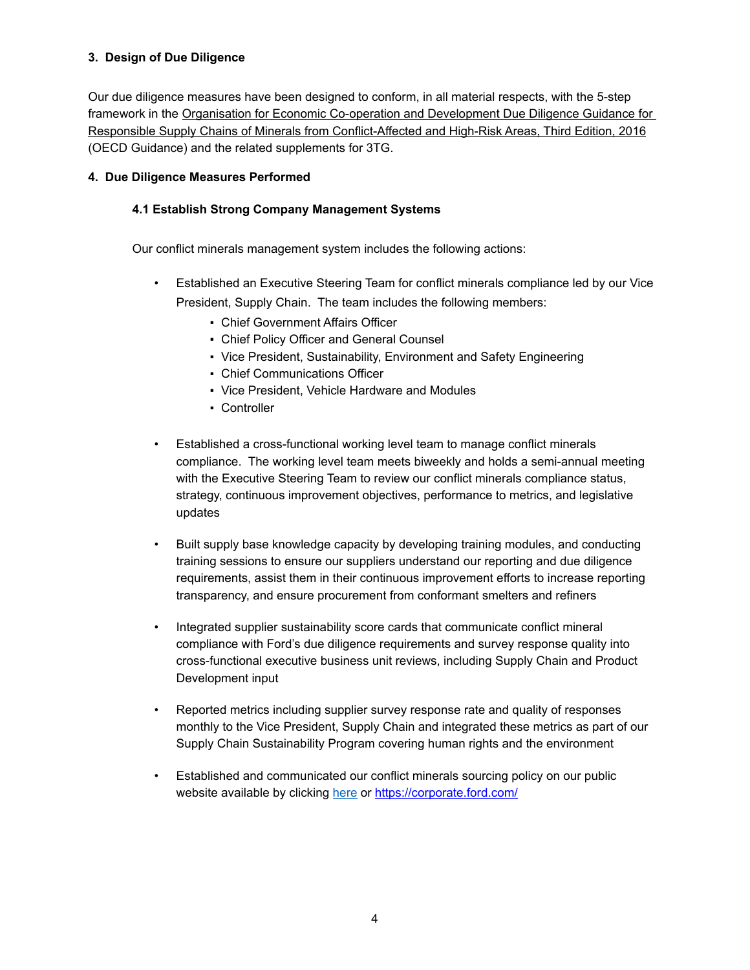# **3. Design of Due Diligence**

 Our due diligence measures have been designed to conform, in all material respects, with the 5-step framework in the Organisation for Economic Co-operation and Development Due Diligence Guidance for Responsible Supply Chains of Minerals from Conflict-Affected and High-Risk Areas, Third Edition, 2016 (OECD Guidance) and the related supplements for 3TG.

# **4. Due Diligence Measures Performed**

# **4.1 Establish Strong Company Management Systems**

Our conflict minerals management system includes the following actions:

- • Established an Executive Steering Team for conflict minerals compliance led by our Vice President, Supply Chain. The team includes the following members:
	- **Chief Government Affairs Officer**
	- **Chief Policy Officer and General Counsel**
	- **Vice President, Sustainability, Environment and Safety Engineering**
	- **Chief Communications Officer**
	- Vice President, Vehicle Hardware and Modules
	- Controller
- • Established a cross-functional working level team to manage conflict minerals compliance. The working level team meets biweekly and holds a semi-annual meeting with the Executive Steering Team to review our conflict minerals compliance status, strategy, continuous improvement objectives, performance to metrics, and legislative updates
- $\bullet$  training sessions to ensure our suppliers understand our reporting and due diligence requirements, assist them in their continuous improvement efforts to increase reporting transparency, and ensure procurement from conformant smelters and refiners • Built supply base knowledge capacity by developing training modules, and conducting
- • Integrated supplier sustainability score cards that communicate conflict mineral compliance with Ford's due diligence requirements and survey response quality into cross-functional executive business unit reviews, including Supply Chain and Product Development input
- • Reported metrics including supplier survey response rate and quality of responses monthly to the Vice President, Supply Chain and integrated these metrics as part of our Supply Chain Sustainability Program covering human rights and the environment
- • Established and communicated our conflict minerals sourcing policy on our public website available by clicking <u>[here](https://corporate.ford.com/responsible-materials-policy)</u> or <u><https://corporate.ford.com>/</u>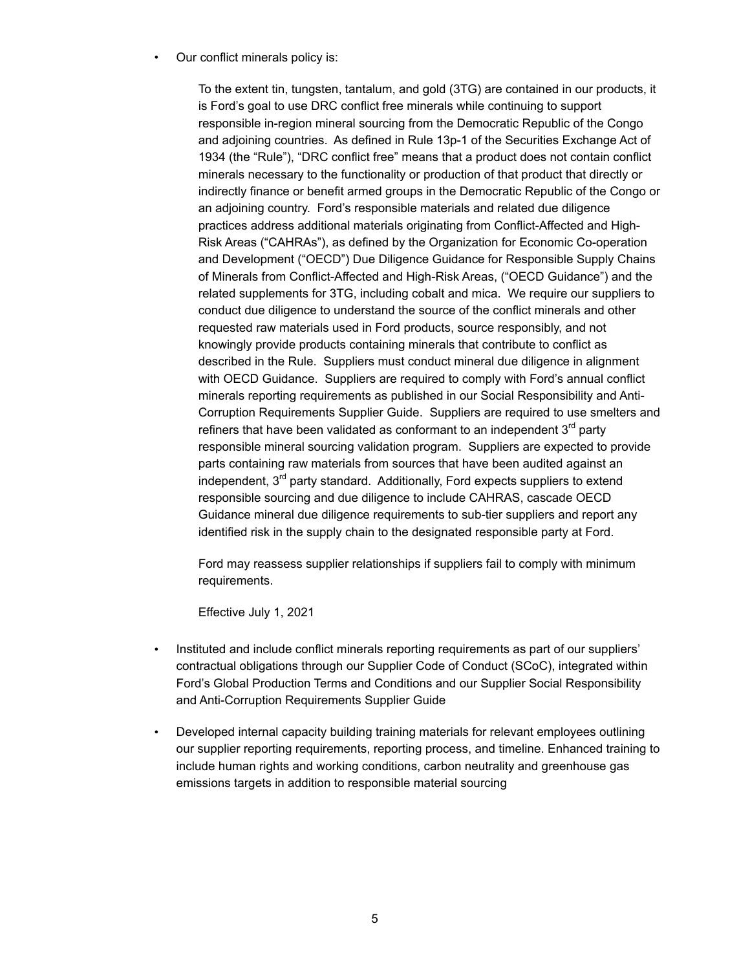• Our conflict minerals policy is:

 To the extent tin, tungsten, tantalum, and gold (3TG) are contained in our products, it is Ford's goal to use DRC conflict free minerals while continuing to support responsible in-region mineral sourcing from the Democratic Republic of the Congo and adjoining countries. As defined in Rule 13p-1 of the Securities Exchange Act of 1934 (the "Rule"), "DRC conflict free" means that a product does not contain conflict minerals necessary to the functionality or production of that product that directly or indirectly finance or benefit armed groups in the Democratic Republic of the Congo or an adjoining country. Ford's responsible materials and related due diligence practices address additional materials originating from Conflict-Affected and High- Risk Areas ("CAHRAs"), as defined by the Organization for Economic Co-operation and Development ("OECD") Due Diligence Guidance for Responsible Supply Chains of Minerals from Conflict-Affected and High-Risk Areas, ("OECD Guidance") and the related supplements for 3TG, including cobalt and mica. We require our suppliers to conduct due diligence to understand the source of the conflict minerals and other requested raw materials used in Ford products, source responsibly, and not knowingly provide products containing minerals that contribute to conflict as described in the Rule. Suppliers must conduct mineral due diligence in alignment with OECD Guidance. Suppliers are required to comply with Ford's annual conflict minerals reporting requirements as published in our Social Responsibility and Anti- Corruption Requirements Supplier Guide. Suppliers are required to use smelters and refiners that have been validated as conformant to an independent 3<sup>rd</sup> party responsible mineral sourcing validation program. Suppliers are expected to provide parts containing raw materials from sources that have been audited against an independent, 3<sup>rd</sup> party standard. Additionally, Ford expects suppliers to extend responsible sourcing and due diligence to include CAHRAS, cascade OECD Guidance mineral due diligence requirements to sub-tier suppliers and report any identified risk in the supply chain to the designated responsible party at Ford.

 Ford may reassess supplier relationships if suppliers fail to comply with minimum requirements.

Effective July 1, 2021

- • Instituted and include conflict minerals reporting requirements as part of our suppliers' contractual obligations through our Supplier Code of Conduct (SCoC), integrated within Ford's Global Production Terms and Conditions and our Supplier Social Responsibility and Anti-Corruption Requirements Supplier Guide
- • Developed internal capacity building training materials for relevant employees outlining our supplier reporting requirements, reporting process, and timeline. Enhanced training to include human rights and working conditions, carbon neutrality and greenhouse gas emissions targets in addition to responsible material sourcing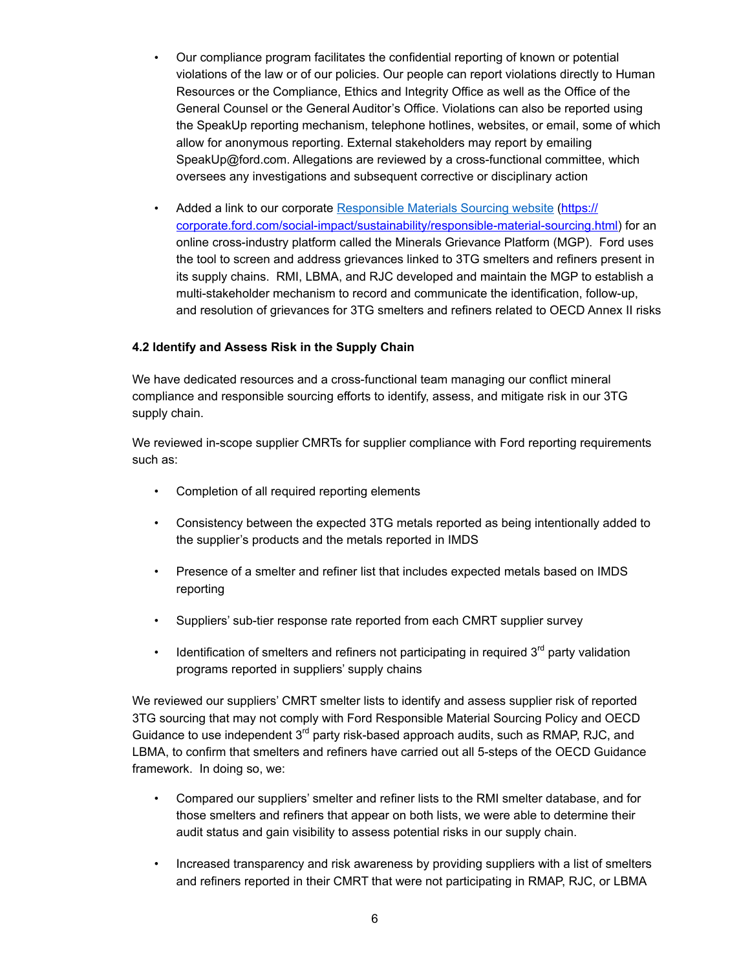- $\bullet$  violations of the law or of our policies. Our people can report violations directly to Human Resources or the Compliance, Ethics and Integrity Office as well as the Office of the General Counsel or the General Auditor's Office. Violations can also be reported using the SpeakUp reporting mechanism, telephone hotlines, websites, or email, some of which allow for anonymous reporting. External stakeholders may report by emailing [SpeakUp@ford.com](mailto:SpeakUp@ford.com). Allegations are reviewed by a cross-functional committee, which oversees any investigations and subsequent corrective or disciplinary action • Our compliance program facilitates the confidential reporting of known or potential
- [corporate.ford.com/social-impact/sustainability/responsible-material-sourcing.html](https://corporate.ford.com/social-impact/sustainability/responsible-material-sourcing.html)) for an online cross-industry platform called the Minerals Grievance Platform (MGP). Ford uses the tool to screen and address grievances linked to 3TG smelters and refiners present in its supply chains. RMI, LBMA, and RJC developed and maintain the MGP to establish a multi-stakeholder mechanism to record and communicate the identification, follow-up, and resolution of grievances for 3TG smelters and refiners related to OECD Annex II risks Added a link to our corporate [Responsible](https://corporate.ford.com/social-impact/sustainability/responsible-material-sourcing.html) Materials Sourcing website (https://

# **4.2 Identify and Assess Risk in the Supply Chain**

 We have dedicated resources and a cross-functional team managing our conflict mineral compliance and responsible sourcing efforts to identify, assess, and mitigate risk in our 3TG supply chain.

 We reviewed in-scope supplier CMRTs for supplier compliance with Ford reporting requirements such as:

- Completion of all required reporting elements
- • Consistency between the expected 3TG metals reported as being intentionally added to the supplier's products and the metals reported in IMDS
- • Presence of a smelter and refiner list that includes expected metals based on IMDS reporting
- Suppliers' sub-tier response rate reported from each CMRT supplier survey
- Identification of smelters and refiners not participating in required  $3<sup>rd</sup>$  party validation programs reported in suppliers' supply chains

 We reviewed our suppliers' CMRT smelter lists to identify and assess supplier risk of reported 3TG sourcing that may not comply with Ford Responsible Material Sourcing Policy and OECD Guidance to use independent 3<sup>rd</sup> party risk-based approach audits, such as RMAP, RJC, and LBMA, to confirm that smelters and refiners have carried out all 5-steps of the OECD Guidance framework. In doing so, we:

- • Compared our suppliers' smelter and refiner lists to the RMI smelter database, and for those smelters and refiners that appear on both lists, we were able to determine their audit status and gain visibility to assess potential risks in our supply chain.
- • Increased transparency and risk awareness by providing suppliers with a list of smelters and refiners reported in their CMRT that were not participating in RMAP, RJC, or LBMA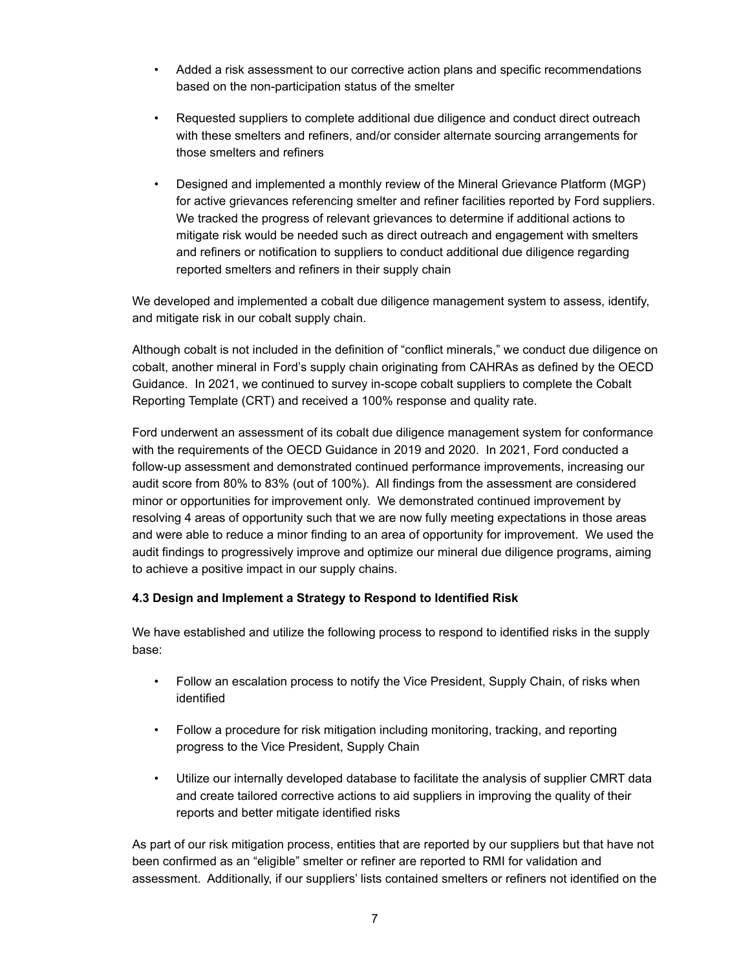- $\bullet$  based on the non-participation status of the smelter • Added a risk assessment to our corrective action plans and specific recommendations
- • Requested suppliers to complete additional due diligence and conduct direct outreach with these smelters and refiners, and/or consider alternate sourcing arrangements for those smelters and refiners
- • Designed and implemented a monthly review of the Mineral Grievance Platform (MGP) for active grievances referencing smelter and refiner facilities reported by Ford suppliers. We tracked the progress of relevant grievances to determine if additional actions to mitigate risk would be needed such as direct outreach and engagement with smelters and refiners or notification to suppliers to conduct additional due diligence regarding reported smelters and refiners in their supply chain

 We developed and implemented a cobalt due diligence management system to assess, identify, and mitigate risk in our cobalt supply chain.

 Although cobalt is not included in the definition of "conflict minerals," we conduct due diligence on cobalt, another mineral in Ford's supply chain originating from CAHRAs as defined by the OECD Guidance. In 2021, we continued to survey in-scope cobalt suppliers to complete the Cobalt Reporting Template (CRT) and received a 100% response and quality rate.

 Ford underwent an assessment of its cobalt due diligence management system for conformance with the requirements of the OECD Guidance in 2019 and 2020. In 2021, Ford conducted a follow-up assessment and demonstrated continued performance improvements, increasing our audit score from 80% to 83% (out of 100%). All findings from the assessment are considered minor or opportunities for improvement only. We demonstrated continued improvement by resolving 4 areas of opportunity such that we are now fully meeting expectations in those areas and were able to reduce a minor finding to an area of opportunity for improvement. We used the audit findings to progressively improve and optimize our mineral due diligence programs, aiming to achieve a positive impact in our supply chains.

# **4.3 Design and Implement a Strategy to Respond to Identified Risk**

 We have established and utilize the following process to respond to identified risks in the supply base:

- $\bullet$ • Follow an escalation process to notify the Vice President, Supply Chain, of risks when identified
- $\bullet$  . progress to the Vice President, Supply Chain • Follow a procedure for risk mitigation including monitoring, tracking, and reporting
- $\bullet$  . and create tailored corrective actions to aid suppliers in improving the quality of their reports and better mitigate identified risks • Utilize our internally developed database to facilitate the analysis of supplier CMRT data

 As part of our risk mitigation process, entities that are reported by our suppliers but that have not been confirmed as an "eligible" smelter or refiner are reported to RMI for validation and assessment. Additionally, if our suppliers' lists contained smelters or refiners not identified on the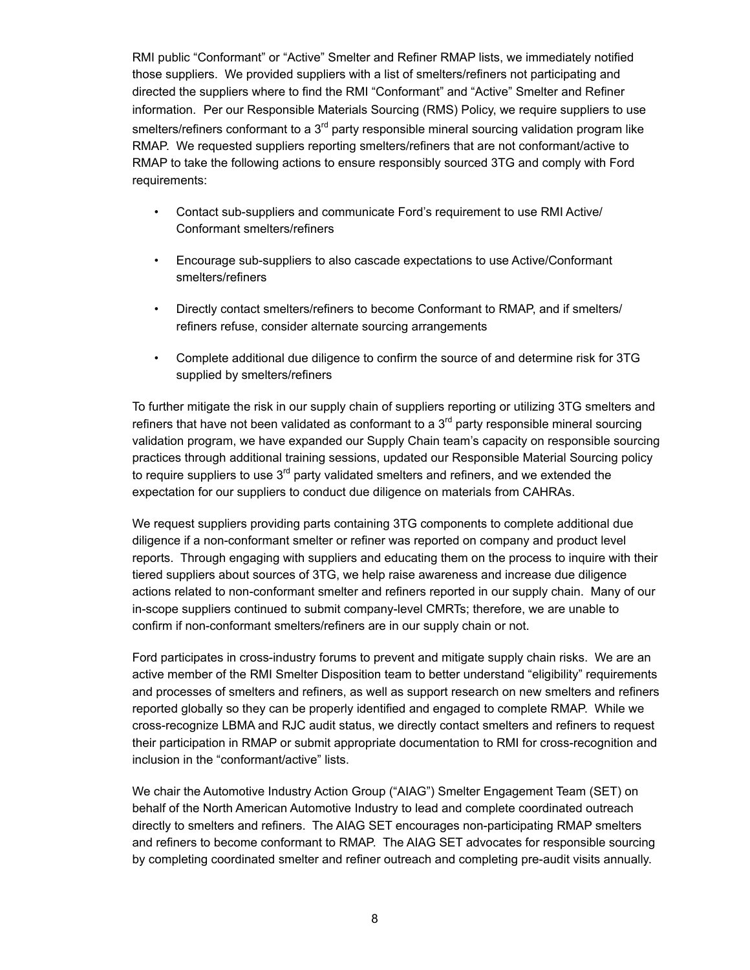RMI public "Conformant" or "Active" Smelter and Refiner RMAP lists, we immediately notified those suppliers. We provided suppliers with a list of smelters/refiners not participating and directed the suppliers where to find the RMI "Conformant" and "Active" Smelter and Refiner information. Per our Responsible Materials Sourcing (RMS) Policy, we require suppliers to use smelters/refiners conformant to a 3<sup>rd</sup> party responsible mineral sourcing validation program like RMAP. We requested suppliers reporting smelters/refiners that are not conformant/active to RMAP to take the following actions to ensure responsibly sourced 3TG and comply with Ford requirements:

- $\bullet$ • Contact sub-suppliers and communicate Ford's requirement to use RMI Active/ Conformant smelters/refiners
- • Encourage sub-suppliers to also cascade expectations to use Active/Conformant smelters/refiners
- $\bullet$  refiners refuse, consider alternate sourcing arrangements • Directly contact smelters/refiners to become Conformant to RMAP, and if smelters/
- • Complete additional due diligence to confirm the source of and determine risk for 3TG supplied by smelters/refiners

 To further mitigate the risk in our supply chain of suppliers reporting or utilizing 3TG smelters and refiners that have not been validated as conformant to a  $3^{\text{rd}}$  party responsible mineral sourcing validation program, we have expanded our Supply Chain team's capacity on responsible sourcing practices through additional training sessions, updated our Responsible Material Sourcing policy to require suppliers to use  $3^{\text{rd}}$  party validated smelters and refiners, and we extended the expectation for our suppliers to conduct due diligence on materials from CAHRAs.

 We request suppliers providing parts containing 3TG components to complete additional due diligence if a non-conformant smelter or refiner was reported on company and product level reports. Through engaging with suppliers and educating them on the process to inquire with their tiered suppliers about sources of 3TG, we help raise awareness and increase due diligence actions related to non-conformant smelter and refiners reported in our supply chain. Many of our in-scope suppliers continued to submit company-level CMRTs; therefore, we are unable to confirm if non-conformant smelters/refiners are in our supply chain or not.

 Ford participates in cross-industry forums to prevent and mitigate supply chain risks. We are an active member of the RMI Smelter Disposition team to better understand "eligibility" requirements and processes of smelters and refiners, as well as support research on new smelters and refiners reported globally so they can be properly identified and engaged to complete RMAP. While we cross-recognize LBMA and RJC audit status, we directly contact smelters and refiners to request their participation in RMAP or submit appropriate documentation to RMI for cross-recognition and inclusion in the "conformant/active" lists.

 We chair the Automotive Industry Action Group ("AIAG") Smelter Engagement Team (SET) on behalf of the North American Automotive Industry to lead and complete coordinated outreach directly to smelters and refiners. The AIAG SET encourages non-participating RMAP smelters and refiners to become conformant to RMAP. The AIAG SET advocates for responsible sourcing by completing coordinated smelter and refiner outreach and completing pre-audit visits annually.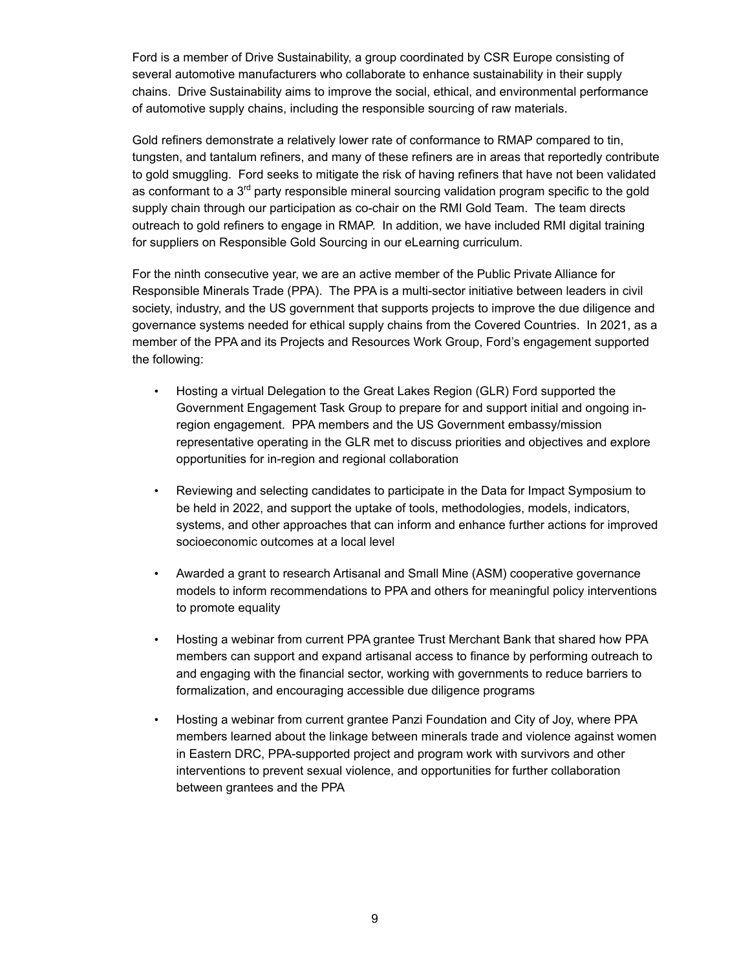Ford is a member of Drive Sustainability, a group coordinated by CSR Europe consisting of several automotive manufacturers who collaborate to enhance sustainability in their supply chains. Drive Sustainability aims to improve the social, ethical, and environmental performance of automotive supply chains, including the responsible sourcing of raw materials.

 Gold refiners demonstrate a relatively lower rate of conformance to RMAP compared to tin, tungsten, and tantalum refiners, and many of these refiners are in areas that reportedly contribute to gold smuggling. Ford seeks to mitigate the risk of having refiners that have not been validated as conformant to a 3<sup>rd</sup> party responsible mineral sourcing validation program specific to the gold supply chain through our participation as co-chair on the RMI Gold Team. The team directs outreach to gold refiners to engage in RMAP. In addition, we have included RMI digital training for suppliers on Responsible Gold Sourcing in our eLearning curriculum.

 For the ninth consecutive year, we are an active member of the Public Private Alliance for Responsible Minerals Trade (PPA). The PPA is a multi-sector initiative between leaders in civil society, industry, and the US government that supports projects to improve the due diligence and governance systems needed for ethical supply chains from the Covered Countries. In 2021, as a member of the PPA and its Projects and Resources Work Group, Ford's engagement supported the following:

- $\bullet$  Government Engagement Task Group to prepare for and support initial and ongoing in- region engagement. PPA members and the US Government embassy/mission representative operating in the GLR met to discuss priorities and objectives and explore opportunities for in-region and regional collaboration • Hosting a virtual Delegation to the Great Lakes Region (GLR) Ford supported the
- • Reviewing and selecting candidates to participate in the Data for Impact Symposium to be held in 2022, and support the uptake of tools, methodologies, models, indicators, systems, and other approaches that can inform and enhance further actions for improved socioeconomic outcomes at a local level
- • Awarded a grant to research Artisanal and Small Mine (ASM) cooperative governance models to inform recommendations to PPA and others for meaningful policy interventions to promote equality
- $\bullet$  members can support and expand artisanal access to finance by performing outreach to and engaging with the financial sector, working with governments to reduce barriers to formalization, and encouraging accessible due diligence programs • Hosting a webinar from current PPA grantee Trust Merchant Bank that shared how PPA
- $\bullet$  members learned about the linkage between minerals trade and violence against women in Eastern DRC, PPA-supported project and program work with survivors and other interventions to prevent sexual violence, and opportunities for further collaboration between grantees and the PPA • Hosting a webinar from current grantee Panzi Foundation and City of Joy, where PPA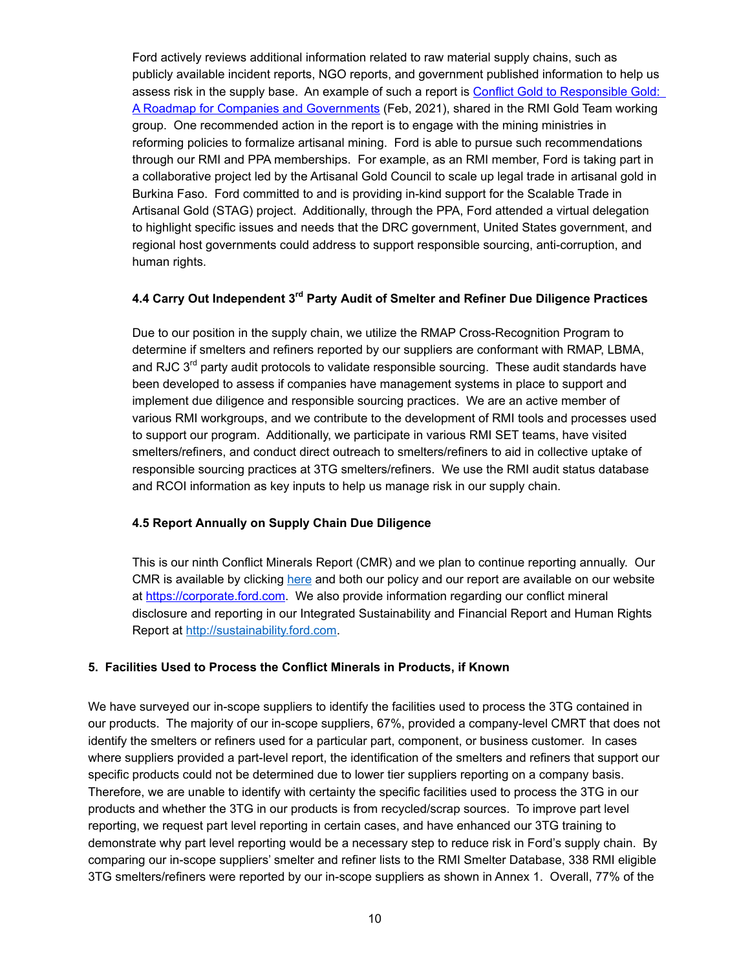Ford actively reviews additional information related to raw material supply chains, such as publicly available incident reports, NGO reports, and government published information to help us assess risk in the supply base. An example of such a report is Conflict Gold to [Responsible](https://thesentry.org/reports/conflict-gold-to-responsible-gold/) Gold: A Roadmap for Companies and [Governments](https://thesentry.org/reports/conflict-gold-to-responsible-gold/) (Feb, 2021), shared in the RMI Gold Team working group. One recommended action in the report is to engage with the mining ministries in reforming policies to formalize artisanal mining. Ford is able to pursue such recommendations through our RMI and PPA memberships. For example, as an RMI member, Ford is taking part in a collaborative project led by the Artisanal Gold Council to scale up legal trade in artisanal gold in Burkina Faso. Ford committed to and is providing in-kind support for the Scalable Trade in Artisanal Gold (STAG) project. Additionally, through the PPA, Ford attended a virtual delegation to highlight specific issues and needs that the DRC government, United States government, and regional host governments could address to support responsible sourcing, anti-corruption, and human rights.

# **4.4 Carry Out Independent 3rd Party Audit of Smelter and Refiner Due Diligence Practices**

 Due to our position in the supply chain, we utilize the RMAP Cross-Recognition Program to determine if smelters and refiners reported by our suppliers are conformant with RMAP, LBMA, and RJC 3<sup>rd</sup> party audit protocols to validate responsible sourcing. These audit standards have been developed to assess if companies have management systems in place to support and implement due diligence and responsible sourcing practices. We are an active member of various RMI workgroups, and we contribute to the development of RMI tools and processes used to support our program. Additionally, we participate in various RMI SET teams, have visited smelters/refiners, and conduct direct outreach to smelters/refiners to aid in collective uptake of responsible sourcing practices at 3TG smelters/refiners. We use the RMI audit status database and RCOI information as key inputs to help us manage risk in our supply chain.

# **4.5 Report Annually on Supply Chain Due Diligence**

 This is our ninth Conflict Minerals Report (CMR) and we plan to continue reporting annually. Our CMR is available by clicking [here](https://corporate.ford.com/conflict-minerals-report) and both our policy and our report are available on our website at [https://corporate.ford.com.](https://corporate.ford.com) We also provide information regarding our conflict mineral disclosure and reporting in our Integrated Sustainability and Financial Report and Human Rights Report at [http://sustainability.ford.com.](http://sustainability.ford.com)

# **5. Facilities Used to Process the Conflict Minerals in Products, if Known**

 We have surveyed our in-scope suppliers to identify the facilities used to process the 3TG contained in our products. The majority of our in-scope suppliers, 67%, provided a company-level CMRT that does not identify the smelters or refiners used for a particular part, component, or business customer. In cases where suppliers provided a part-level report, the identification of the smelters and refiners that support our specific products could not be determined due to lower tier suppliers reporting on a company basis. Therefore, we are unable to identify with certainty the specific facilities used to process the 3TG in our products and whether the 3TG in our products is from recycled/scrap sources. To improve part level reporting, we request part level reporting in certain cases, and have enhanced our 3TG training to demonstrate why part level reporting would be a necessary step to reduce risk in Ford's supply chain. By comparing our in-scope suppliers' smelter and refiner lists to the RMI Smelter Database, 338 RMI eligible 3TG smelters/refiners were reported by our in-scope suppliers as shown in Annex 1. Overall, 77% of the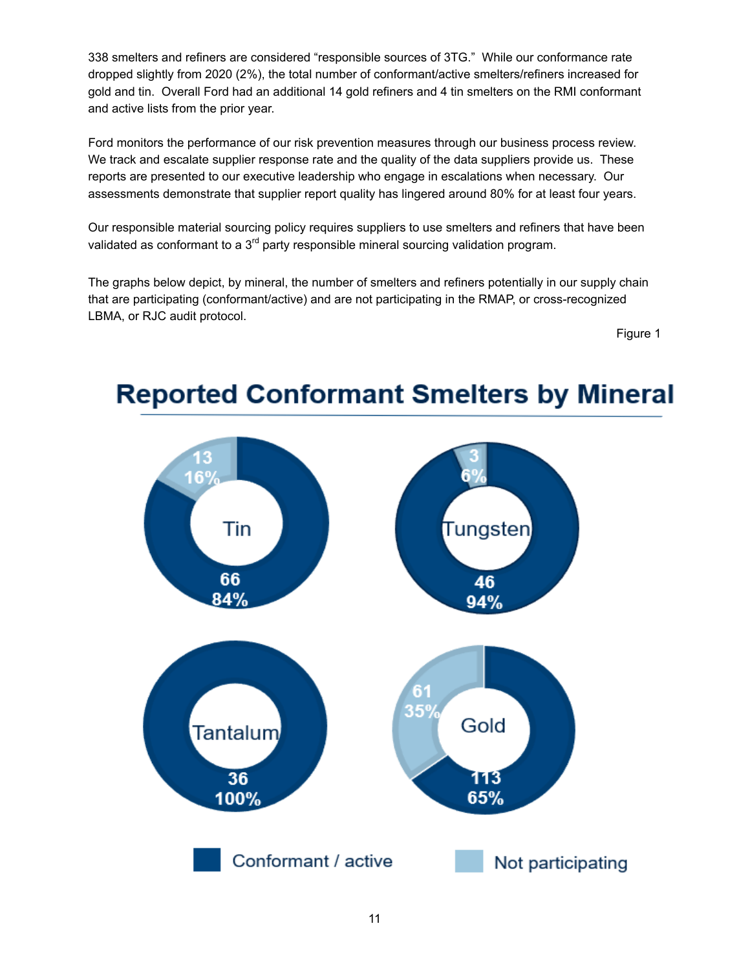338 smelters and refiners are considered "responsible sources of 3TG." While our conformance rate dropped slightly from 2020 (2%), the total number of conformant/active smelters/refiners increased for gold and tin. Overall Ford had an additional 14 gold refiners and 4 tin smelters on the RMI conformant and active lists from the prior year.

 Ford monitors the performance of our risk prevention measures through our business process review. We track and escalate supplier response rate and the quality of the data suppliers provide us. These reports are presented to our executive leadership who engage in escalations when necessary. Our assessments demonstrate that supplier report quality has lingered around 80% for at least four years.

 Our responsible material sourcing policy requires suppliers to use smelters and refiners that have been validated as conformant to a  $3<sup>rd</sup>$  party responsible mineral sourcing validation program.

 The graphs below depict, by mineral, the number of smelters and refiners potentially in our supply chain that are participating (conformant/active) and are not participating in the RMAP, or cross-recognized LBMA, or RJC audit protocol.

Figure 1



# **Reported Conformant Smelters by Mineral**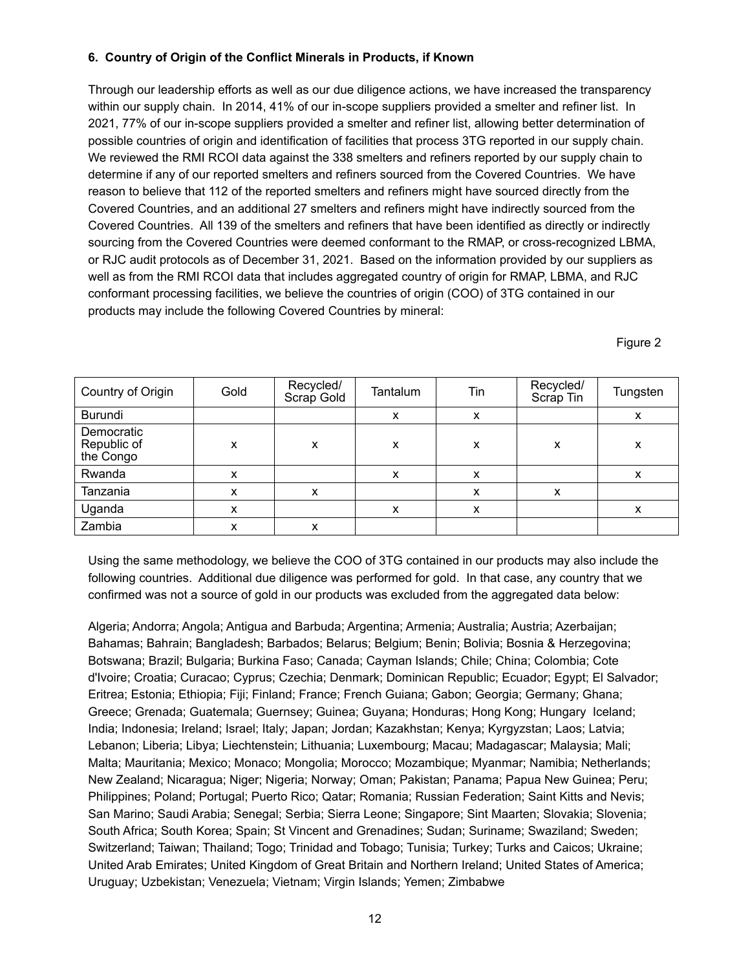# **6. Country of Origin of the Conflict Minerals in Products, if Known**

 Through our leadership efforts as well as our due diligence actions, we have increased the transparency within our supply chain. In 2014, 41% of our in-scope suppliers provided a smelter and refiner list. In 2021, 77% of our in-scope suppliers provided a smelter and refiner list, allowing better determination of possible countries of origin and identification of facilities that process 3TG reported in our supply chain. We reviewed the RMI RCOI data against the 338 smelters and refiners reported by our supply chain to determine if any of our reported smelters and refiners sourced from the Covered Countries. We have reason to believe that 112 of the reported smelters and refiners might have sourced directly from the Covered Countries, and an additional 27 smelters and refiners might have indirectly sourced from the Covered Countries. All 139 of the smelters and refiners that have been identified as directly or indirectly sourcing from the Covered Countries were deemed conformant to the RMAP, or cross-recognized LBMA, or RJC audit protocols as of December 31, 2021. Based on the information provided by our suppliers as well as from the RMI RCOI data that includes aggregated country of origin for RMAP, LBMA, and RJC conformant processing facilities, we believe the countries of origin (COO) of 3TG contained in our products may include the following Covered Countries by mineral:

Figure 2

| Country of Origin                      | Gold | Recycled/<br>Scrap Gold | Tantalum | Tin | Recycled/<br>Scrap Tin | Tungsten |
|----------------------------------------|------|-------------------------|----------|-----|------------------------|----------|
| Burundi                                |      |                         | x        | X   |                        | x        |
| Democratic<br>Republic of<br>the Congo | x    | x                       | x        | х   | X                      | х        |
| Rwanda                                 |      |                         | x        | x   |                        | x        |
| Tanzania                               |      | x                       |          | х   | x                      |          |
| Uganda                                 | x    |                         | x        | x   |                        | х        |
| Zambia                                 |      | х                       |          |     |                        |          |

 Using the same methodology, we believe the COO of 3TG contained in our products may also include the following countries. Additional due diligence was performed for gold. In that case, any country that we confirmed was not a source of gold in our products was excluded from the aggregated data below:

 Algeria; Andorra; Angola; Antigua and Barbuda; Argentina; Armenia; Australia; Austria; Azerbaijan; Bahamas; Bahrain; Bangladesh; Barbados; Belarus; Belgium; Benin; Bolivia; Bosnia & Herzegovina; Botswana; Brazil; Bulgaria; Burkina Faso; Canada; Cayman Islands; Chile; China; Colombia; Cote d'Ivoire; Croatia; Curacao; Cyprus; Czechia; Denmark; Dominican Republic; Ecuador; Egypt; El Salvador; Eritrea; Estonia; Ethiopia; Fiji; Finland; France; French Guiana; Gabon; Georgia; Germany; Ghana; Greece; Grenada; Guatemala; Guernsey; Guinea; Guyana; Honduras; Hong Kong; Hungary Iceland; India; Indonesia; Ireland; Israel; Italy; Japan; Jordan; Kazakhstan; Kenya; Kyrgyzstan; Laos; Latvia; Lebanon; Liberia; Libya; Liechtenstein; Lithuania; Luxembourg; Macau; Madagascar; Malaysia; Mali; Malta; Mauritania; Mexico; Monaco; Mongolia; Morocco; Mozambique; Myanmar; Namibia; Netherlands; New Zealand; Nicaragua; Niger; Nigeria; Norway; Oman; Pakistan; Panama; Papua New Guinea; Peru; Philippines; Poland; Portugal; Puerto Rico; Qatar; Romania; Russian Federation; Saint Kitts and Nevis; San Marino; Saudi Arabia; Senegal; Serbia; Sierra Leone; Singapore; Sint Maarten; Slovakia; Slovenia; South Africa; South Korea; Spain; St Vincent and Grenadines; Sudan; Suriname; Swaziland; Sweden; Switzerland; Taiwan; Thailand; Togo; Trinidad and Tobago; Tunisia; Turkey; Turks and Caicos; Ukraine; United Arab Emirates; United Kingdom of Great Britain and Northern Ireland; United States of America; Uruguay; Uzbekistan; Venezuela; Vietnam; Virgin Islands; Yemen; Zimbabwe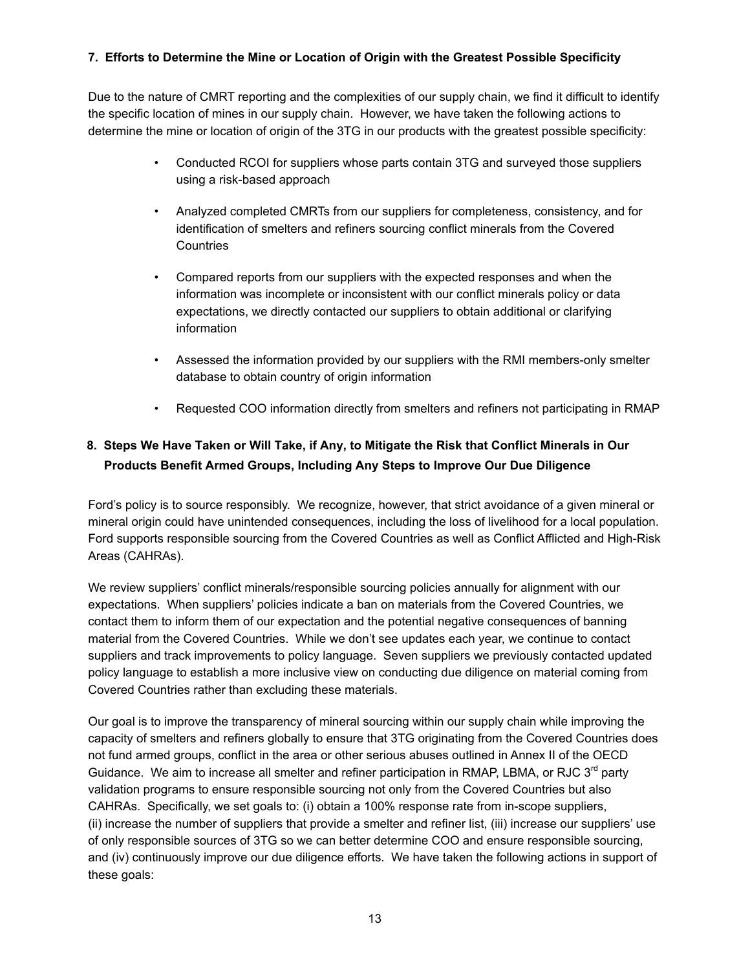# **7. Efforts to Determine the Mine or Location of Origin with the Greatest Possible Specificity**

 Due to the nature of CMRT reporting and the complexities of our supply chain, we find it difficult to identify the specific location of mines in our supply chain. However, we have taken the following actions to determine the mine or location of origin of the 3TG in our products with the greatest possible specificity:

- • Conducted RCOI for suppliers whose parts contain 3TG and surveyed those suppliers using a risk-based approach
- • Analyzed completed CMRTs from our suppliers for completeness, consistency, and for identification of smelters and refiners sourcing conflict minerals from the Covered **Countries**
- • Compared reports from our suppliers with the expected responses and when the information was incomplete or inconsistent with our conflict minerals policy or data expectations, we directly contacted our suppliers to obtain additional or clarifying information
- • Assessed the information provided by our suppliers with the RMI members-only smelter database to obtain country of origin information
- Requested COO information directly from smelters and refiners not participating in RMAP

# 8. Steps We Have Taken or Will Take, if Any, to Mitigate the Risk that Conflict Minerals in Our **Products Benefit Armed Groups, Including Any Steps to Improve Our Due Diligence**

 Ford's policy is to source responsibly. We recognize, however, that strict avoidance of a given mineral or mineral origin could have unintended consequences, including the loss of livelihood for a local population. Ford supports responsible sourcing from the Covered Countries as well as Conflict Afflicted and High-Risk Areas (CAHRAs).

 We review suppliers' conflict minerals/responsible sourcing policies annually for alignment with our expectations. When suppliers' policies indicate a ban on materials from the Covered Countries, we contact them to inform them of our expectation and the potential negative consequences of banning material from the Covered Countries. While we don't see updates each year, we continue to contact suppliers and track improvements to policy language. Seven suppliers we previously contacted updated policy language to establish a more inclusive view on conducting due diligence on material coming from Covered Countries rather than excluding these materials.

 Our goal is to improve the transparency of mineral sourcing within our supply chain while improving the capacity of smelters and refiners globally to ensure that 3TG originating from the Covered Countries does not fund armed groups, conflict in the area or other serious abuses outlined in Annex II of the OECD Guidance. We aim to increase all smelter and refiner participation in RMAP, LBMA, or RJC 3<sup>rd</sup> party validation programs to ensure responsible sourcing not only from the Covered Countries but also CAHRAs. Specifically, we set goals to: (i) obtain a 100% response rate from in-scope suppliers, (ii) increase the number of suppliers that provide a smelter and refiner list, (iii) increase our suppliers' use of only responsible sources of 3TG so we can better determine COO and ensure responsible sourcing, and (iv) continuously improve our due diligence efforts. We have taken the following actions in support of these goals: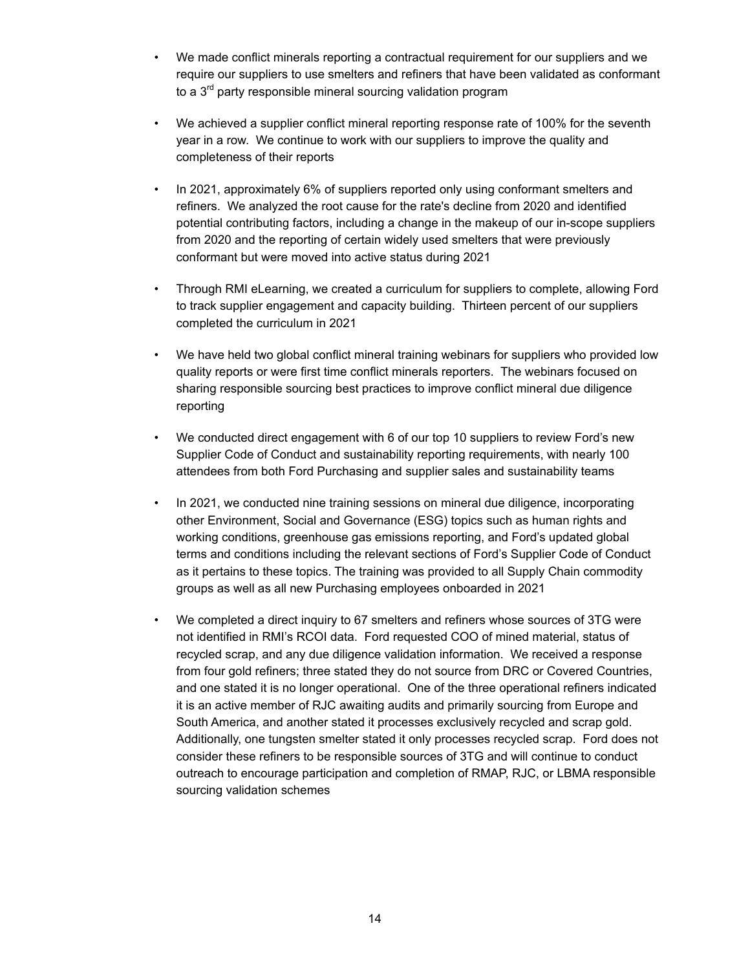- $\bullet$  require our suppliers to use smelters and refiners that have been validated as conformant to a 3<sup>rd</sup> party responsible mineral sourcing validation program • We made conflict minerals reporting a contractual requirement for our suppliers and we
- $\bullet$  year in a row. We continue to work with our suppliers to improve the quality and completeness of their reports • We achieved a supplier conflict mineral reporting response rate of 100% for the seventh
- $\bullet$  refiners. We analyzed the root cause for the rate's decline from 2020 and identified potential contributing factors, including a change in the makeup of our in-scope suppliers from 2020 and the reporting of certain widely used smelters that were previously conformant but were moved into active status during 2021 • In 2021, approximately 6% of suppliers reported only using conformant smelters and
- to track supplier engagement and capacity building. Thirteen percent of our suppliers completed the curriculum in 2021 • Through RMI eLearning, we created a curriculum for suppliers to complete, allowing Ford
- $\bullet$  quality reports or were first time conflict minerals reporters. The webinars focused on sharing responsible sourcing best practices to improve conflict mineral due diligence • We have held two global conflict mineral training webinars for suppliers who provided low reporting
- $\ddot{\phantom{0}}$  Supplier Code of Conduct and sustainability reporting requirements, with nearly 100 attendees from both Ford Purchasing and supplier sales and sustainability teams • We conducted direct engagement with 6 of our top 10 suppliers to review Ford's new
- $\bullet$  other Environment, Social and Governance (ESG) topics such as human rights and working conditions, greenhouse gas emissions reporting, and Ford's updated global terms and conditions including the relevant sections of Ford's Supplier Code of Conduct as it pertains to these topics. The training was provided to all Supply Chain commodity groups as well as all new Purchasing employees onboarded in 2021 • In 2021, we conducted nine training sessions on mineral due diligence, incorporating
- $\bullet$  not identified in RMI's RCOI data. Ford requested COO of mined material, status of recycled scrap, and any due diligence validation information. We received a response from four gold refiners; three stated they do not source from DRC or Covered Countries, and one stated it is no longer operational. One of the three operational refiners indicated it is an active member of RJC awaiting audits and primarily sourcing from Europe and South America, and another stated it processes exclusively recycled and scrap gold. Additionally, one tungsten smelter stated it only processes recycled scrap. Ford does not consider these refiners to be responsible sources of 3TG and will continue to conduct outreach to encourage participation and completion of RMAP, RJC, or LBMA responsible sourcing validation schemes • We completed a direct inquiry to 67 smelters and refiners whose sources of 3TG were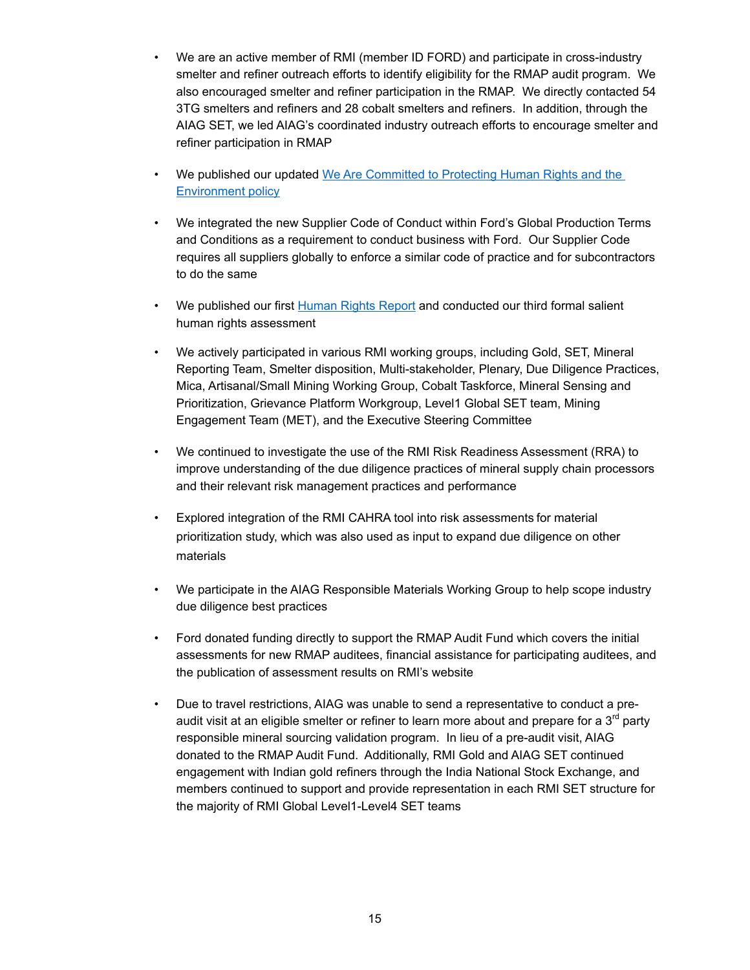- $\bullet$  smelter and refiner outreach efforts to identify eligibility for the RMAP audit program. We also encouraged smelter and refiner participation in the RMAP. We directly contacted 54 3TG smelters and refiners and 28 cobalt smelters and refiners. In addition, through the AIAG SET, we led AIAG's coordinated industry outreach efforts to encourage smelter and refiner participation in RMAP • We are an active member of RMI (member ID FORD) and participate in cross-industry
- $\bullet$ **[Environment](https://corporate.ford.com/content/dam/corporate/us/en-us/documents/social-impact/sustainability/additional-downloads/We-Are-Commited-to-Protecting-Human-Rights-and-the-Environment-policy.pdf) policy** • We published our updated We Are [Committed](https://corporate.ford.com/content/dam/corporate/us/en-us/documents/social-impact/sustainability/additional-downloads/We-Are-Commited-to-Protecting-Human-Rights-and-the-Environment-policy.pdf) to Protecting Human Rights and the
- $\bullet$  and Conditions as a requirement to conduct business with Ford. Our Supplier Code requires all suppliers globally to enforce a similar code of practice and for subcontractors to do the same • We integrated the new Supplier Code of Conduct within Ford's Global Production Terms
- $\bullet$  human rights assessment We published our first [Human](https://corporate.ford.com/content/dam/corporate/us/en-us/documents/reports/human-rights-report.pdf) Rights Report and conducted our third formal salient
- $\bullet$  Reporting Team, Smelter disposition, Multi-stakeholder, Plenary, Due Diligence Practices, Mica, Artisanal/Small Mining Working Group, Cobalt Taskforce, Mineral Sensing and Prioritization, Grievance Platform Workgroup, Level1 Global SET team, Mining Engagement Team (MET), and the Executive Steering Committee • We actively participated in various RMI working groups, including Gold, SET, Mineral
- $\bullet$  . improve understanding of the due diligence practices of mineral supply chain processors and their relevant risk management practices and performance • We continued to investigate the use of the RMI Risk Readiness Assessment (RRA) to
- • Explored integration of the RMI CAHRA tool into risk assessments for material prioritization study, which was also used as input to expand due diligence on other materials
- $\bullet$  due diligence best practices • We participate in the AIAG Responsible Materials Working Group to help scope industry
- $\bullet$  assessments for new RMAP auditees, financial assistance for participating auditees, and the publication of assessment results on RMI's website • Ford donated funding directly to support the RMAP Audit Fund which covers the initial
- $\bullet$ audit visit at an eligible smelter or refiner to learn more about and prepare for a  $3^{\mathsf{rd}}$  party responsible mineral sourcing validation program. In lieu of a pre-audit visit, AIAG donated to the RMAP Audit Fund. Additionally, RMI Gold and AIAG SET continued engagement with Indian gold refiners through the India National Stock Exchange, and members continued to support and provide representation in each RMI SET structure for the majority of RMI Global Level1-Level4 SET teams • Due to travel restrictions, AIAG was unable to send a representative to conduct a pre-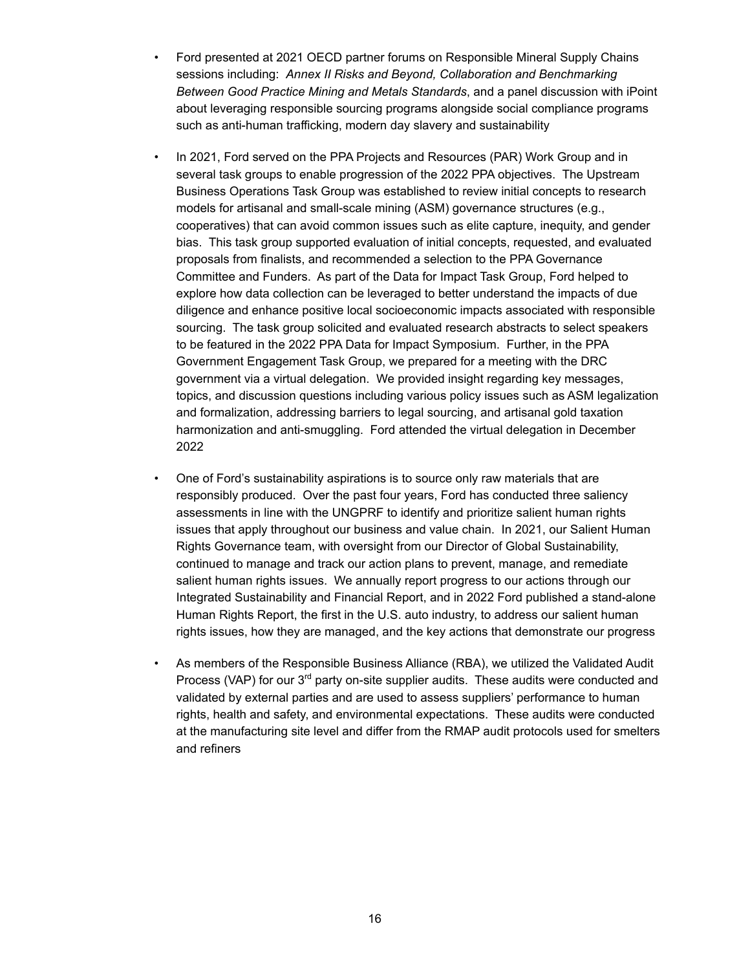- sessions including: *Annex II Risks and Beyond, Collaboration and Benchmarking Between Good Practice Mining and Metals Standards*, and a panel discussion with iPoint about leveraging responsible sourcing programs alongside social compliance programs such as anti-human trafficking, modern day slavery and sustainability • Ford presented at 2021 OECD partner forums on Responsible Mineral Supply Chains
- several task groups to enable progression of the 2022 PPA objectives. The Upstream Business Operations Task Group was established to review initial concepts to research models for artisanal and small-scale mining (ASM) governance structures (e.g., cooperatives) that can avoid common issues such as elite capture, inequity, and gender bias. This task group supported evaluation of initial concepts, requested, and evaluated proposals from finalists, and recommended a selection to the PPA Governance Committee and Funders. As part of the Data for Impact Task Group, Ford helped to explore how data collection can be leveraged to better understand the impacts of due diligence and enhance positive local socioeconomic impacts associated with responsible sourcing. The task group solicited and evaluated research abstracts to select speakers to be featured in the 2022 PPA Data for Impact Symposium. Further, in the PPA Government Engagement Task Group, we prepared for a meeting with the DRC government via a virtual delegation. We provided insight regarding key messages, topics, and discussion questions including various policy issues such as ASM legalization and formalization, addressing barriers to legal sourcing, and artisanal gold taxation harmonization and anti-smuggling. Ford attended the virtual delegation in December • In 2021, Ford served on the PPA Projects and Resources (PAR) Work Group and in 2022
- responsibly produced. Over the past four years, Ford has conducted three saliency assessments in line with the UNGPRF to identify and prioritize salient human rights issues that apply throughout our business and value chain. In 2021, our Salient Human Rights Governance team, with oversight from our Director of Global Sustainability, continued to manage and track our action plans to prevent, manage, and remediate salient human rights issues. We annually report progress to our actions through our Integrated Sustainability and Financial Report, and in 2022 Ford published a stand-alone Human Rights Report, the first in the U.S. auto industry, to address our salient human rights issues, how they are managed, and the key actions that demonstrate our progress • One of Ford's sustainability aspirations is to source only raw materials that are
- Process (VAP) for our 3<sup>rd</sup> party on-site supplier audits. These audits were conducted and validated by external parties and are used to assess suppliers' performance to human rights, health and safety, and environmental expectations. These audits were conducted at the manufacturing site level and differ from the RMAP audit protocols used for smelters and refiners • As members of the Responsible Business Alliance (RBA), we utilized the Validated Audit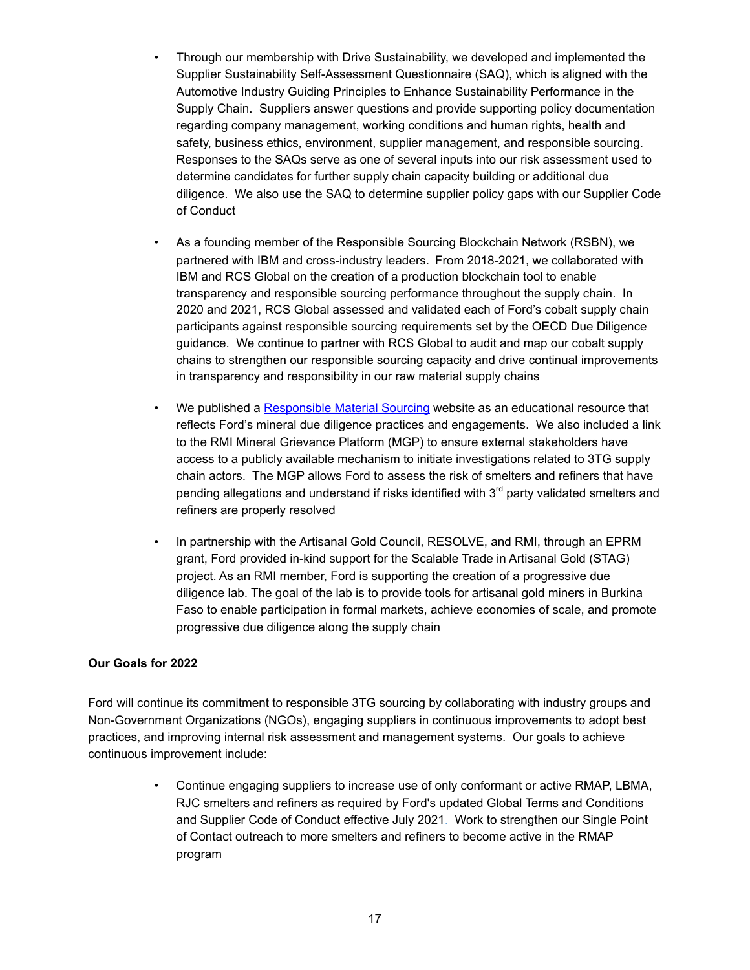- Supplier Sustainability Self-Assessment Questionnaire (SAQ), which is aligned with the Automotive Industry Guiding Principles to Enhance Sustainability Performance in the Supply Chain. Suppliers answer questions and provide supporting policy documentation regarding company management, working conditions and human rights, health and safety, business ethics, environment, supplier management, and responsible sourcing. Responses to the SAQs serve as one of several inputs into our risk assessment used to determine candidates for further supply chain capacity building or additional due diligence. We also use the SAQ to determine supplier policy gaps with our Supplier Code of Conduct • Through our membership with Drive Sustainability, we developed and implemented the
- partnered with IBM and cross-industry leaders. From 2018-2021, we collaborated with IBM and RCS Global on the creation of a production blockchain tool to enable transparency and responsible sourcing performance throughout the supply chain. In 2020 and 2021, RCS Global assessed and validated each of Ford's cobalt supply chain participants against responsible sourcing requirements set by the OECD Due Diligence guidance. We continue to partner with RCS Global to audit and map our cobalt supply chains to strengthen our responsible sourcing capacity and drive continual improvements in transparency and responsibility in our raw material supply chains • As a founding member of the Responsible Sourcing Blockchain Network (RSBN), we
- $\bullet$  reflects Ford's mineral due diligence practices and engagements. We also included a link to the RMI Mineral Grievance Platform (MGP) to ensure external stakeholders have access to a publicly available mechanism to initiate investigations related to 3TG supply chain actors. The MGP allows Ford to assess the risk of smelters and refiners that have pending allegations and understand if risks identified with  $3<sup>rd</sup>$  party validated smelters and refiners are properly resolved We published a [Responsible](https://corporate.ford.com/social-impact/sustainability/responsible-material-sourcing.html) Material Sourcing website as an educational resource that
- grant, Ford provided in-kind support for the Scalable Trade in Artisanal Gold (STAG) project. As an RMI member, Ford is supporting the creation of a progressive due diligence lab. The goal of the lab is to provide tools for artisanal gold miners in Burkina Faso to enable participation in formal markets, achieve economies of scale, and promote progressive due diligence along the supply chain • In partnership with the Artisanal Gold Council, RESOLVE, and RMI, through an EPRM

# **Our Goals for 2022**

 Ford will continue its commitment to responsible 3TG sourcing by collaborating with industry groups and Non-Government Organizations (NGOs), engaging suppliers in continuous improvements to adopt best practices, and improving internal risk assessment and management systems. Our goals to achieve continuous improvement include:

> • Continue engaging suppliers to increase use of only conformant or active RMAP, LBMA, RJC smelters and refiners as required by Ford's updated Global Terms and Conditions and Supplier Code of Conduct effective July 2021. Work to strengthen our Single Point of Contact outreach to more smelters and refiners to become active in the RMAP program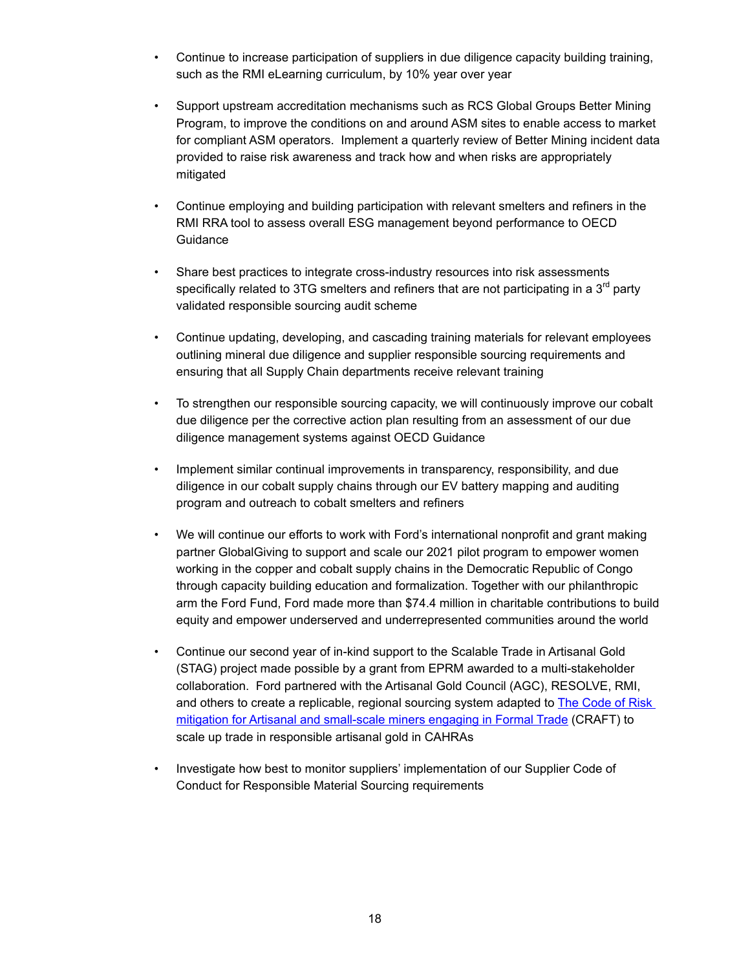- • Continue to increase participation of suppliers in due diligence capacity building training, such as the RMI eLearning curriculum, by 10% year over year
- $\bullet$  Program, to improve the conditions on and around ASM sites to enable access to market for compliant ASM operators. Implement a quarterly review of Better Mining incident data provided to raise risk awareness and track how and when risks are appropriately • Support upstream accreditation mechanisms such as RCS Global Groups Better Mining mitigated
- • Continue employing and building participation with relevant smelters and refiners in the RMI RRA tool to assess overall ESG management beyond performance to OECD **Guidance**
- $\bullet$ specifically related to 3TG smelters and refiners that are not participating in a 3 $^{\sf rd}$  party validated responsible sourcing audit scheme Share best practices to integrate cross-industry resources into risk assessments
- • Continue updating, developing, and cascading training materials for relevant employees outlining mineral due diligence and supplier responsible sourcing requirements and ensuring that all Supply Chain departments receive relevant training
- $\bullet$  due diligence per the corrective action plan resulting from an assessment of our due diligence management systems against OECD Guidance • To strengthen our responsible sourcing capacity, we will continuously improve our cobalt
- • Implement similar continual improvements in transparency, responsibility, and due diligence in our cobalt supply chains through our EV battery mapping and auditing program and outreach to cobalt smelters and refiners
- partner GlobalGiving to support and scale our 2021 pilot program to empower women working in the copper and cobalt supply chains in the Democratic Republic of Congo through capacity building education and formalization. Together with our philanthropic arm the Ford Fund, Ford made more than \$74.4 million in charitable contributions to build equity and empower underserved and underrepresented communities around the world • We will continue our efforts to work with Ford's international nonprofit and grant making
- • Continue our second year of in-kind support to the Scalable Trade in Artisanal Gold (STAG) project made possible by a grant from EPRM awarded to a multi-stakeholder collaboration. Ford partnered with the Artisanal Gold Council (AGC), RESOLVE, RMI, and others to create a replicable, regional sourcing system adapted to The Code of Risk mitigation for Artisanal and [small-scale](https://www.craftmines.org/wp-content/uploads/2021/03/CRAFT_2.0_Completo_Ingles_VersionFinal-1.pdf) miners engaging in Formal Trade (CRAFT) to scale up trade in responsible artisanal gold in CAHRAs
- • Investigate how best to monitor suppliers' implementation of our Supplier Code of Conduct for Responsible Material Sourcing requirements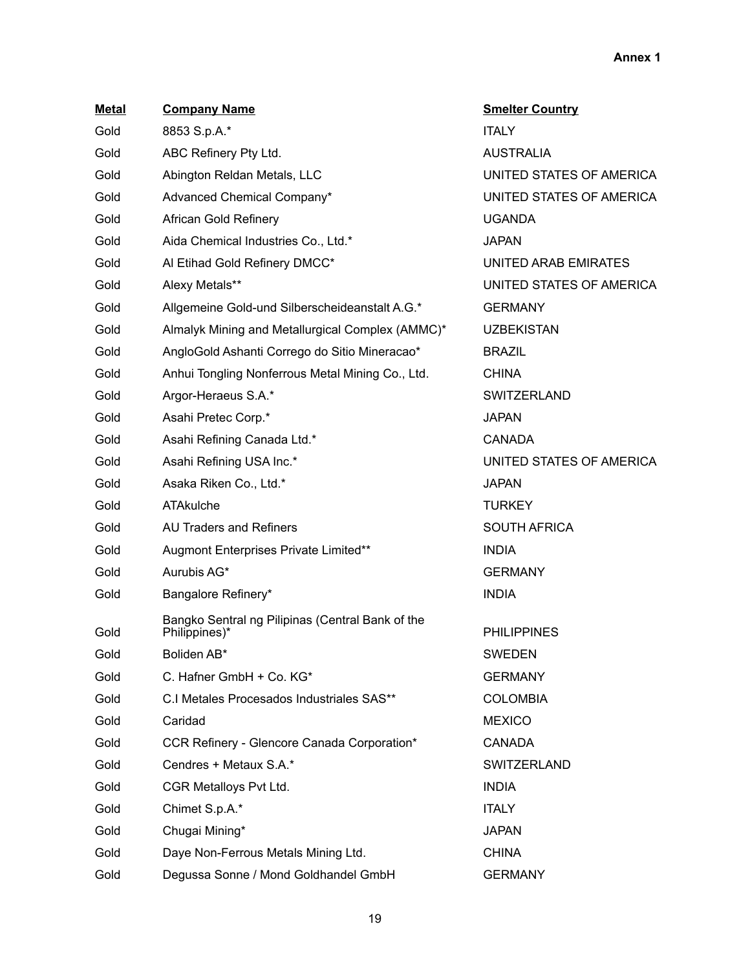| <b>Metal</b> | <b>Company Name</b>                                               | <b>Smelter Country</b>   |
|--------------|-------------------------------------------------------------------|--------------------------|
| Gold         | 8853 S.p.A.*                                                      | <b>ITALY</b>             |
| Gold         | ABC Refinery Pty Ltd.                                             | <b>AUSTRALIA</b>         |
| Gold         | Abington Reldan Metals, LLC                                       | UNITED STATES OF AMERICA |
| Gold         | Advanced Chemical Company*                                        | UNITED STATES OF AMERICA |
| Gold         | African Gold Refinery                                             | <b>UGANDA</b>            |
| Gold         | Aida Chemical Industries Co., Ltd.*                               | <b>JAPAN</b>             |
| Gold         | Al Etihad Gold Refinery DMCC*                                     | UNITED ARAB EMIRATES     |
| Gold         | Alexy Metals**                                                    | UNITED STATES OF AMERICA |
| Gold         | Allgemeine Gold-und Silberscheideanstalt A.G.*                    | <b>GERMANY</b>           |
| Gold         | Almalyk Mining and Metallurgical Complex (AMMC)*                  | <b>UZBEKISTAN</b>        |
| Gold         | AngloGold Ashanti Corrego do Sitio Mineracao*                     | <b>BRAZIL</b>            |
| Gold         | Anhui Tongling Nonferrous Metal Mining Co., Ltd.                  | <b>CHINA</b>             |
| Gold         | Argor-Heraeus S.A.*                                               | <b>SWITZERLAND</b>       |
| Gold         | Asahi Pretec Corp.*                                               | <b>JAPAN</b>             |
| Gold         | Asahi Refining Canada Ltd.*                                       | <b>CANADA</b>            |
| Gold         | Asahi Refining USA Inc.*                                          | UNITED STATES OF AMERICA |
| Gold         | Asaka Riken Co., Ltd.*                                            | <b>JAPAN</b>             |
| Gold         | ATAkulche                                                         | <b>TURKEY</b>            |
| Gold         | <b>AU Traders and Refiners</b>                                    | <b>SOUTH AFRICA</b>      |
| Gold         | Augmont Enterprises Private Limited**                             | <b>INDIA</b>             |
| Gold         | Aurubis AG*                                                       | <b>GERMANY</b>           |
| Gold         | Bangalore Refinery*                                               | <b>INDIA</b>             |
| Gold         | Bangko Sentral ng Pilipinas (Central Bank of the<br>Philippines)* | <b>PHILIPPINES</b>       |
| Gold         | Boliden AB*                                                       | <b>SWEDEN</b>            |
| Gold         | C. Hafner GmbH + Co. KG*                                          | <b>GERMANY</b>           |
| Gold         | C.I Metales Procesados Industriales SAS**                         | <b>COLOMBIA</b>          |
| Gold         | Caridad                                                           | <b>MEXICO</b>            |
| Gold         | CCR Refinery - Glencore Canada Corporation*                       | <b>CANADA</b>            |
| Gold         | Cendres + Metaux S.A.*                                            | <b>SWITZERLAND</b>       |
| Gold         | CGR Metalloys Pvt Ltd.                                            | <b>INDIA</b>             |
| Gold         | Chimet S.p.A.*                                                    | <b>ITALY</b>             |
| Gold         | Chugai Mining*                                                    | <b>JAPAN</b>             |
| Gold         | Daye Non-Ferrous Metals Mining Ltd.                               | <b>CHINA</b>             |
| Gold         | Degussa Sonne / Mond Goldhandel GmbH                              | <b>GERMANY</b>           |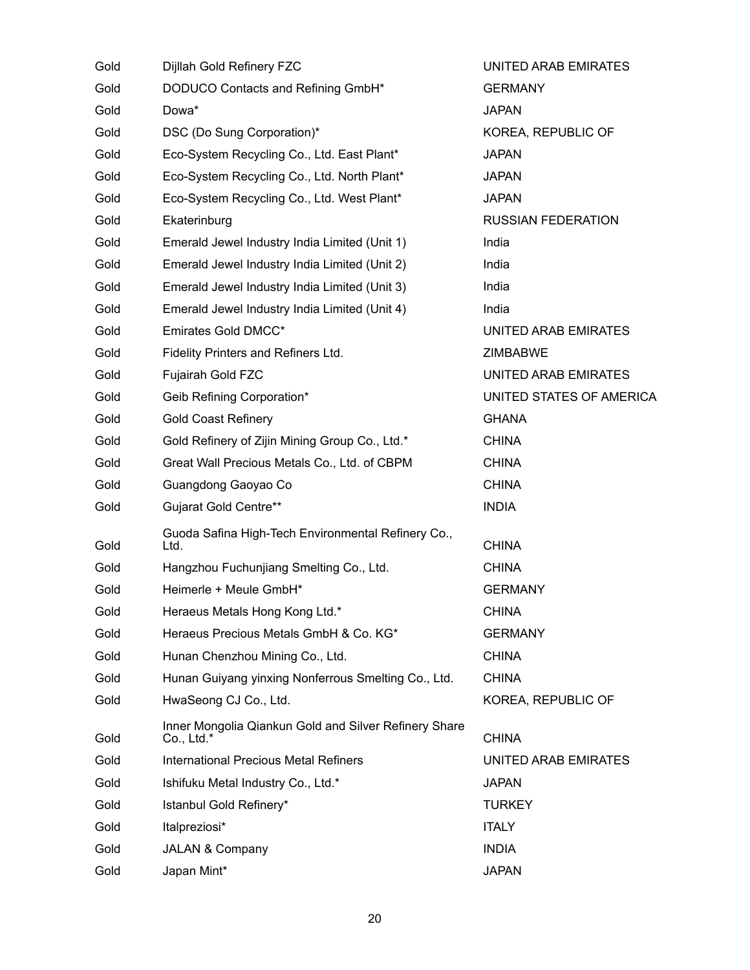| Gold | Dijllah Gold Refinery FZC                                             | UNITED ARAB EMIRATES      |
|------|-----------------------------------------------------------------------|---------------------------|
| Gold | DODUCO Contacts and Refining GmbH*                                    | <b>GERMANY</b>            |
| Gold | Dowa*                                                                 | <b>JAPAN</b>              |
| Gold | DSC (Do Sung Corporation)*                                            | KOREA, REPUBLIC OF        |
| Gold | Eco-System Recycling Co., Ltd. East Plant*                            | <b>JAPAN</b>              |
| Gold | Eco-System Recycling Co., Ltd. North Plant*                           | <b>JAPAN</b>              |
| Gold | Eco-System Recycling Co., Ltd. West Plant*                            | <b>JAPAN</b>              |
| Gold | Ekaterinburg                                                          | <b>RUSSIAN FEDERATION</b> |
| Gold | Emerald Jewel Industry India Limited (Unit 1)                         | India                     |
| Gold | Emerald Jewel Industry India Limited (Unit 2)                         | India                     |
| Gold | Emerald Jewel Industry India Limited (Unit 3)                         | India                     |
| Gold | Emerald Jewel Industry India Limited (Unit 4)                         | India                     |
| Gold | Emirates Gold DMCC*                                                   | UNITED ARAB EMIRATES      |
| Gold | Fidelity Printers and Refiners Ltd.                                   | <b>ZIMBABWE</b>           |
| Gold | Fujairah Gold FZC                                                     | UNITED ARAB EMIRATES      |
| Gold | Geib Refining Corporation*                                            | UNITED STATES OF AMERICA  |
| Gold | <b>Gold Coast Refinery</b>                                            | <b>GHANA</b>              |
| Gold | Gold Refinery of Zijin Mining Group Co., Ltd.*                        | <b>CHINA</b>              |
| Gold | Great Wall Precious Metals Co., Ltd. of CBPM                          | <b>CHINA</b>              |
| Gold | Guangdong Gaoyao Co                                                   | <b>CHINA</b>              |
| Gold | <b>Gujarat Gold Centre**</b>                                          | <b>INDIA</b>              |
| Gold | Guoda Safina High-Tech Environmental Refinery Co.,<br>Ltd.            | <b>CHINA</b>              |
| Gold | Hangzhou Fuchunjiang Smelting Co., Ltd.                               | <b>CHINA</b>              |
| Gold | Heimerle + Meule GmbH*                                                | <b>GERMANY</b>            |
| Gold | Heraeus Metals Hong Kong Ltd.*                                        | <b>CHINA</b>              |
| Gold | Heraeus Precious Metals GmbH & Co. KG*                                | <b>GERMANY</b>            |
| Gold | Hunan Chenzhou Mining Co., Ltd.                                       | <b>CHINA</b>              |
| Gold | Hunan Guiyang yinxing Nonferrous Smelting Co., Ltd.                   | <b>CHINA</b>              |
| Gold | HwaSeong CJ Co., Ltd.                                                 | KOREA, REPUBLIC OF        |
| Gold | Inner Mongolia Qiankun Gold and Silver Refinery Share<br>$Co., Ltd.*$ | <b>CHINA</b>              |
| Gold | <b>International Precious Metal Refiners</b>                          | UNITED ARAB EMIRATES      |
| Gold | Ishifuku Metal Industry Co., Ltd.*                                    | <b>JAPAN</b>              |
| Gold | Istanbul Gold Refinery*                                               | <b>TURKEY</b>             |
| Gold | Italpreziosi*                                                         | <b>ITALY</b>              |
| Gold | <b>JALAN &amp; Company</b>                                            | <b>INDIA</b>              |
| Gold | Japan Mint*                                                           | <b>JAPAN</b>              |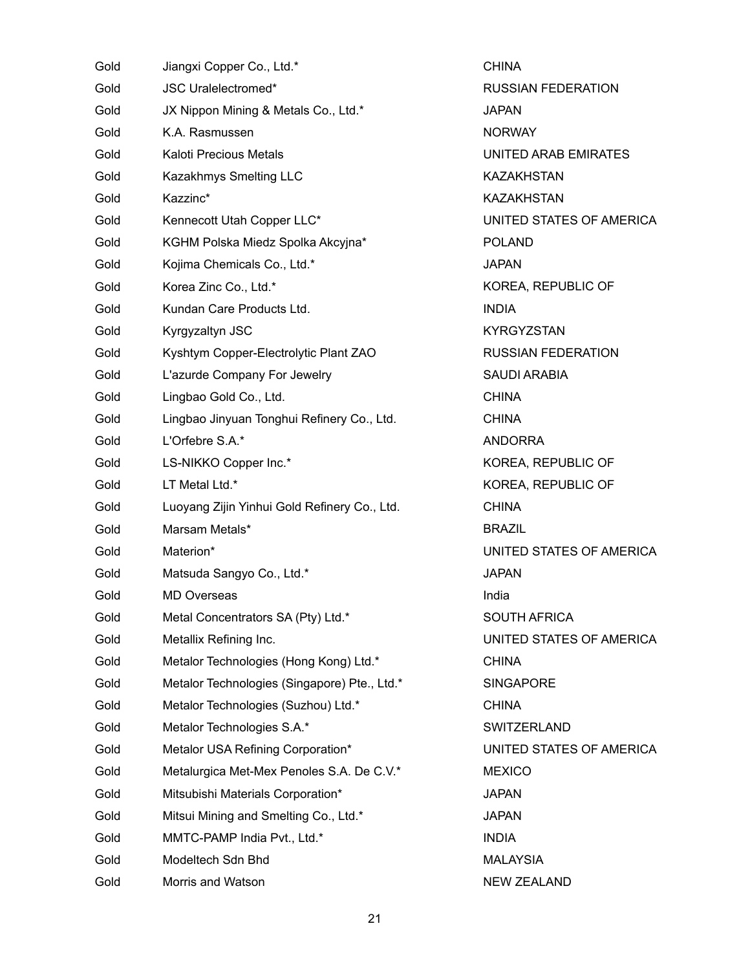| Gold | Jiangxi Copper Co., Ltd.*                    |
|------|----------------------------------------------|
| Gold | <b>JSC Uralelectromed*</b>                   |
| Gold | JX Nippon Mining & Metals Co., Ltd.*         |
| Gold | K.A. Rasmussen                               |
| Gold | Kaloti Precious Metals                       |
| Gold | Kazakhmys Smelting LLC                       |
| Gold | Kazzinc*                                     |
| Gold | Kennecott Utah Copper LLC*                   |
| Gold | KGHM Polska Miedz Spolka Akcyjna*            |
| Gold | Kojima Chemicals Co., Ltd.*                  |
| Gold | Korea Zinc Co., Ltd.*                        |
| Gold | Kundan Care Products Ltd.                    |
| Gold | Kyrgyzaltyn JSC                              |
| Gold | Kyshtym Copper-Electrolytic Plant ZAO        |
| Gold | L'azurde Company For Jewelry                 |
| Gold | Lingbao Gold Co., Ltd.                       |
| Gold | Lingbao Jinyuan Tonghui Refinery Co., Ltd.   |
| Gold | L'Orfebre S.A.*                              |
| Gold | LS-NIKKO Copper Inc.*                        |
| Gold | LT Metal Ltd.*                               |
| Gold | Luoyang Zijin Yinhui Gold Refinery Co., Ltd. |
| Gold | Marsam Metals*                               |
| Gold | Materion*                                    |
| Gold | Matsuda Sangyo Co., Ltd.*                    |
| Gold | <b>MD Overseas</b>                           |
| Gold | Metal Concentrators SA (Pty) Ltd.*           |
| Gold | Metallix Refining Inc.                       |
| Gold | Metalor Technologies (Hong Kong) Ltd.*       |
| Gold | Metalor Technologies (Singapore) Pte., Ltd.* |
| Gold | Metalor Technologies (Suzhou) Ltd.*          |
| Gold | Metalor Technologies S.A.*                   |
| Gold | Metalor USA Refining Corporation*            |
| Gold | Metalurgica Met-Mex Penoles S.A. De C.V.*    |
| Gold | Mitsubishi Materials Corporation*            |
| Gold | Mitsui Mining and Smelting Co., Ltd.*        |
| Gold | MMTC-PAMP India Pvt., Ltd.*                  |
| Gold | Modeltech Sdn Bhd                            |
| Gold | Morris and Watson                            |

 UNITED ARAB EMIRATES UNITED STATES OF AMERICA KOREA, REPUBLIC OF SAUDI ARABIA KOREA, REPUBLIC OF KOREA, REPUBLIC OF UNITED STATES OF AMERICA SOUTH AFRICA UNITED STATES OF AMERICA UNITED STATES OF AMERICA NEW ZEALAND CHINA RUSSIAN FEDERATION JAPAN **NORWAY** KAZAKHSTAN KAZAKHSTAN POLAND JAPAN INDIA KYRGYZSTAN RUSSIAN FEDERATION CHINA CHINA ANDORRA CHINA BRAZIL JAPAN India CHINA **SINGAPORE** CHINA SWITZERLAND **MEXICO** JAPAN JAPAN INDIA MALAYSIA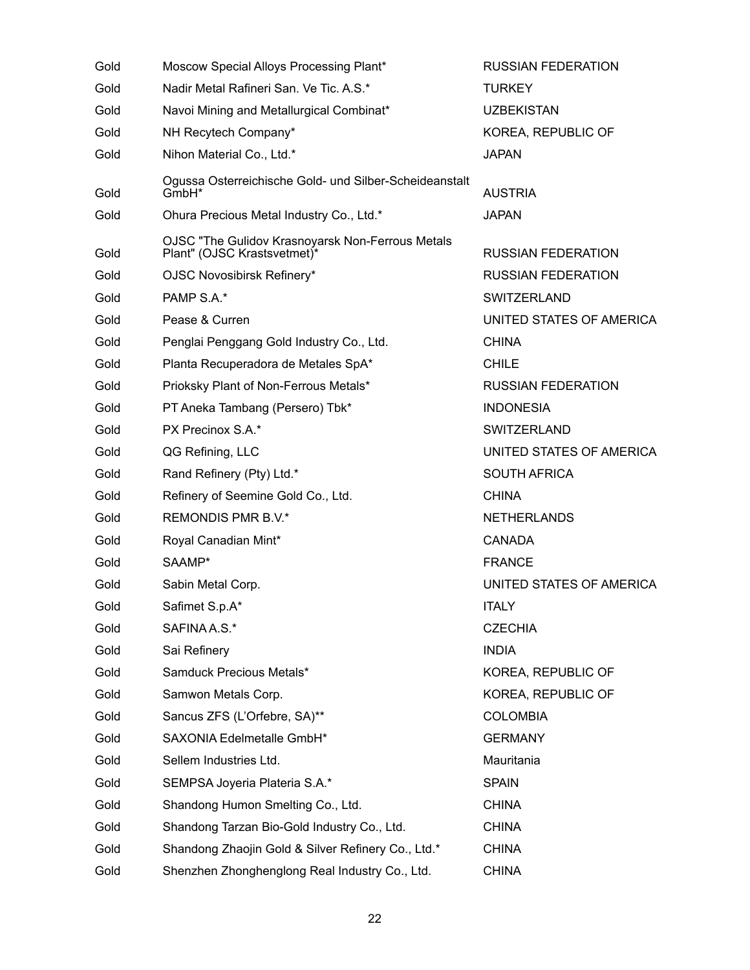| Gold | Moscow Special Alloys Processing Plant*                                         | <b>RUSSIAN FEDERATION</b> |
|------|---------------------------------------------------------------------------------|---------------------------|
| Gold | Nadir Metal Rafineri San. Ve Tic. A.S.*                                         | <b>TURKEY</b>             |
| Gold | Navoi Mining and Metallurgical Combinat*                                        | <b>UZBEKISTAN</b>         |
| Gold | NH Recytech Company*                                                            | KOREA, REPUBLIC OF        |
| Gold | Nihon Material Co., Ltd.*                                                       | <b>JAPAN</b>              |
| Gold | Ogussa Osterreichische Gold- und Silber-Scheideanstalt<br>GmbH <sup>*</sup>     | <b>AUSTRIA</b>            |
| Gold | Ohura Precious Metal Industry Co., Ltd.*                                        | <b>JAPAN</b>              |
| Gold | OJSC "The Gulidov Krasnoyarsk Non-Ferrous Metals<br>Plant" (OJSC Krastsvetmet)* | <b>RUSSIAN FEDERATION</b> |
| Gold | OJSC Novosibirsk Refinery*                                                      | <b>RUSSIAN FEDERATION</b> |
| Gold | PAMP S.A.*                                                                      | SWITZERLAND               |
| Gold | Pease & Curren                                                                  | UNITED STATES OF AMERICA  |
| Gold | Penglai Penggang Gold Industry Co., Ltd.                                        | <b>CHINA</b>              |
| Gold | Planta Recuperadora de Metales SpA*                                             | <b>CHILE</b>              |
| Gold | Prioksky Plant of Non-Ferrous Metals*                                           | <b>RUSSIAN FEDERATION</b> |
| Gold | PT Aneka Tambang (Persero) Tbk*                                                 | <b>INDONESIA</b>          |
| Gold | PX Precinox S.A.*                                                               | <b>SWITZERLAND</b>        |
| Gold | QG Refining, LLC                                                                | UNITED STATES OF AMERICA  |
| Gold | Rand Refinery (Pty) Ltd.*                                                       | <b>SOUTH AFRICA</b>       |
| Gold | Refinery of Seemine Gold Co., Ltd.                                              | <b>CHINA</b>              |
| Gold | REMONDIS PMR B.V.*                                                              | <b>NETHERLANDS</b>        |
| Gold | Royal Canadian Mint*                                                            | <b>CANADA</b>             |
| Gold | SAAMP*                                                                          | <b>FRANCE</b>             |
| Gold | Sabin Metal Corp.                                                               | UNITED STATES OF AMERICA  |
| Gold | Safimet S.p.A*                                                                  | <b>ITALY</b>              |
| Gold | SAFINA A.S.*                                                                    | <b>CZECHIA</b>            |
| Gold | Sai Refinery                                                                    | <b>INDIA</b>              |
| Gold | Samduck Precious Metals*                                                        | KOREA, REPUBLIC OF        |
| Gold | Samwon Metals Corp.                                                             | KOREA, REPUBLIC OF        |
| Gold | Sancus ZFS (L'Orfebre, SA)**                                                    | <b>COLOMBIA</b>           |
| Gold | SAXONIA Edelmetalle GmbH*                                                       | <b>GERMANY</b>            |
| Gold | Sellem Industries Ltd.                                                          | Mauritania                |
| Gold | SEMPSA Joyeria Plateria S.A.*                                                   | <b>SPAIN</b>              |
| Gold | Shandong Humon Smelting Co., Ltd.                                               | <b>CHINA</b>              |
| Gold | Shandong Tarzan Bio-Gold Industry Co., Ltd.                                     | <b>CHINA</b>              |
| Gold | Shandong Zhaojin Gold & Silver Refinery Co., Ltd.*                              | <b>CHINA</b>              |
| Gold | Shenzhen Zhonghenglong Real Industry Co., Ltd.                                  | <b>CHINA</b>              |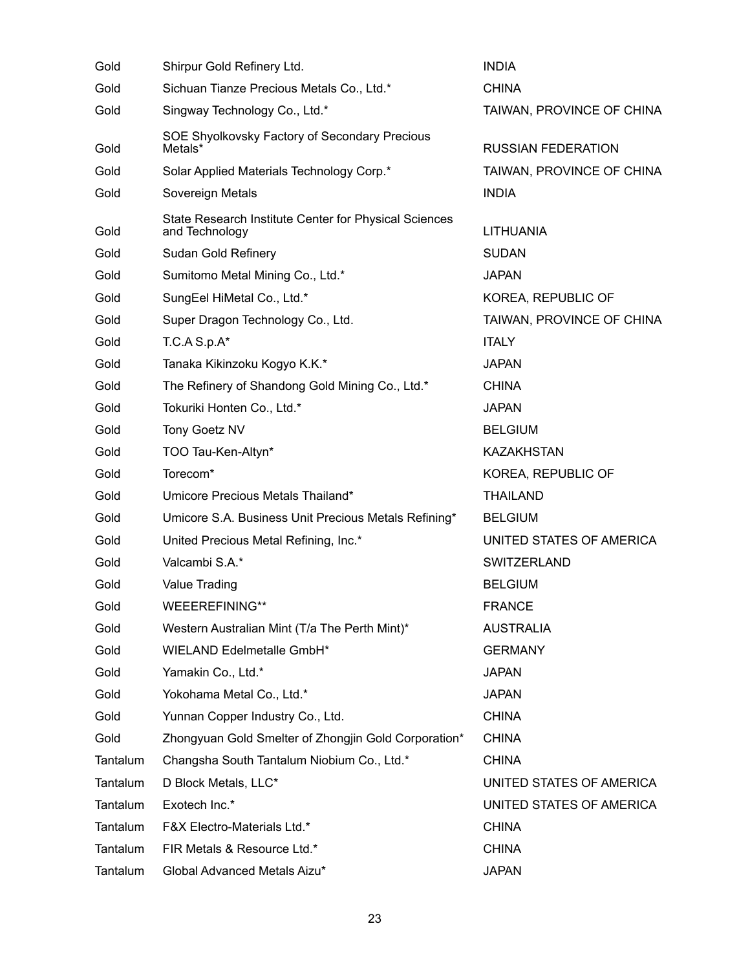| Gold     | Shirpur Gold Refinery Ltd.                                              | <b>INDIA</b>              |
|----------|-------------------------------------------------------------------------|---------------------------|
| Gold     | Sichuan Tianze Precious Metals Co., Ltd.*                               | <b>CHINA</b>              |
| Gold     | Singway Technology Co., Ltd.*                                           | TAIWAN, PROVINCE OF CHINA |
|          | SOE Shyolkovsky Factory of Secondary Precious                           |                           |
| Gold     | Metals*                                                                 | <b>RUSSIAN FEDERATION</b> |
| Gold     | Solar Applied Materials Technology Corp.*                               | TAIWAN, PROVINCE OF CHINA |
| Gold     | Sovereign Metals                                                        | <b>INDIA</b>              |
| Gold     | State Research Institute Center for Physical Sciences<br>and Technology | <b>LITHUANIA</b>          |
| Gold     | Sudan Gold Refinery                                                     | <b>SUDAN</b>              |
| Gold     | Sumitomo Metal Mining Co., Ltd.*                                        | <b>JAPAN</b>              |
| Gold     | SungEel HiMetal Co., Ltd.*                                              | KOREA, REPUBLIC OF        |
| Gold     | Super Dragon Technology Co., Ltd.                                       | TAIWAN, PROVINCE OF CHINA |
| Gold     | $TC.A S.p.A*$                                                           | <b>ITALY</b>              |
| Gold     | Tanaka Kikinzoku Kogyo K.K.*                                            | <b>JAPAN</b>              |
| Gold     | The Refinery of Shandong Gold Mining Co., Ltd.*                         | <b>CHINA</b>              |
| Gold     | Tokuriki Honten Co., Ltd.*                                              | <b>JAPAN</b>              |
| Gold     | Tony Goetz NV                                                           | <b>BELGIUM</b>            |
| Gold     | TOO Tau-Ken-Altyn*                                                      | KAZAKHSTAN                |
| Gold     | Torecom*                                                                | KOREA, REPUBLIC OF        |
| Gold     | Umicore Precious Metals Thailand*                                       | <b>THAILAND</b>           |
| Gold     | Umicore S.A. Business Unit Precious Metals Refining*                    | <b>BELGIUM</b>            |
| Gold     | United Precious Metal Refining, Inc.*                                   | UNITED STATES OF AMERICA  |
| Gold     | Valcambi S.A.*                                                          | <b>SWITZERLAND</b>        |
| Gold     | Value Trading                                                           | <b>BELGIUM</b>            |
| Gold     | WEEEREFINING**                                                          | <b>FRANCE</b>             |
| Gold     | Western Australian Mint (T/a The Perth Mint)*                           | <b>AUSTRALIA</b>          |
| Gold     | WIELAND Edelmetalle GmbH*                                               | <b>GERMANY</b>            |
| Gold     | Yamakin Co., Ltd.*                                                      | <b>JAPAN</b>              |
| Gold     | Yokohama Metal Co., Ltd.*                                               | JAPAN                     |
| Gold     | Yunnan Copper Industry Co., Ltd.                                        | <b>CHINA</b>              |
| Gold     | Zhongyuan Gold Smelter of Zhongjin Gold Corporation*                    | <b>CHINA</b>              |
| Tantalum | Changsha South Tantalum Niobium Co., Ltd.*                              | <b>CHINA</b>              |
| Tantalum | D Block Metals, LLC*                                                    | UNITED STATES OF AMERICA  |
| Tantalum | Exotech Inc.*                                                           | UNITED STATES OF AMERICA  |
| Tantalum | <b>F&amp;X Electro-Materials Ltd.*</b>                                  | <b>CHINA</b>              |
| Tantalum | FIR Metals & Resource Ltd.*                                             | <b>CHINA</b>              |
| Tantalum | Global Advanced Metals Aizu*                                            | <b>JAPAN</b>              |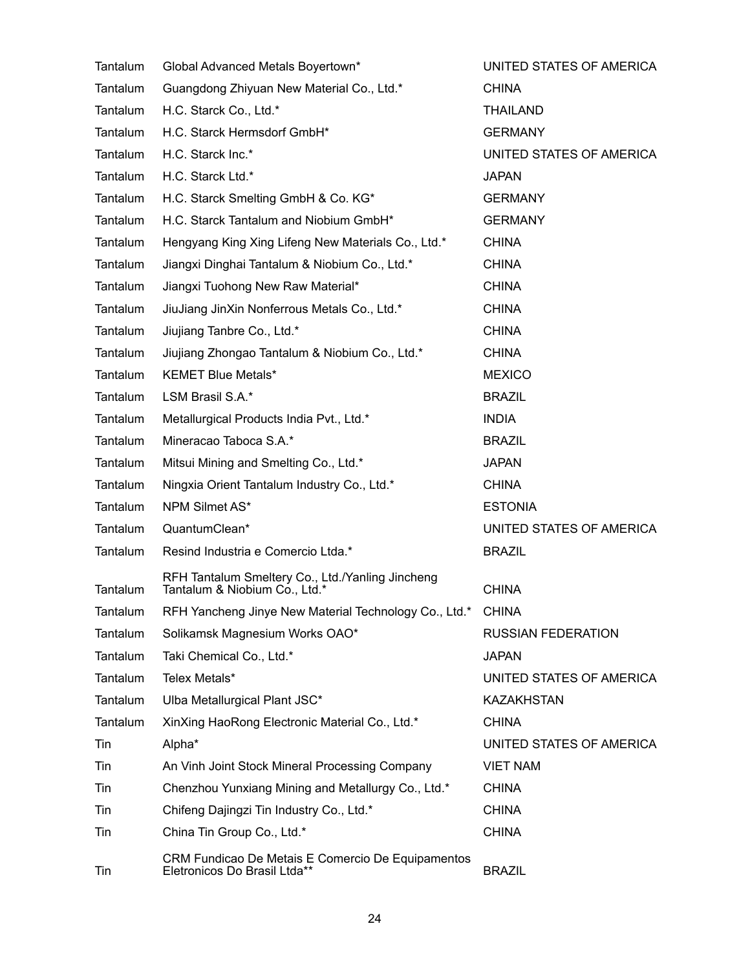| Tantalum | Global Advanced Metals Boyertown*                                                 | UNITED STATES OF AMERICA  |
|----------|-----------------------------------------------------------------------------------|---------------------------|
| Tantalum | Guangdong Zhiyuan New Material Co., Ltd.*                                         | <b>CHINA</b>              |
| Tantalum | H.C. Starck Co., Ltd.*                                                            | <b>THAILAND</b>           |
| Tantalum | H.C. Starck Hermsdorf GmbH*                                                       | <b>GERMANY</b>            |
| Tantalum | H.C. Starck Inc.*                                                                 | UNITED STATES OF AMERICA  |
| Tantalum | H.C. Starck Ltd.*                                                                 | <b>JAPAN</b>              |
| Tantalum | H.C. Starck Smelting GmbH & Co. KG*                                               | <b>GERMANY</b>            |
| Tantalum | H.C. Starck Tantalum and Niobium GmbH*                                            | <b>GERMANY</b>            |
| Tantalum | Hengyang King Xing Lifeng New Materials Co., Ltd.*                                | <b>CHINA</b>              |
| Tantalum | Jiangxi Dinghai Tantalum & Niobium Co., Ltd.*                                     | <b>CHINA</b>              |
| Tantalum | Jiangxi Tuohong New Raw Material*                                                 | <b>CHINA</b>              |
| Tantalum | JiuJiang JinXin Nonferrous Metals Co., Ltd.*                                      | <b>CHINA</b>              |
| Tantalum | Jiujiang Tanbre Co., Ltd.*                                                        | <b>CHINA</b>              |
| Tantalum | Jiujiang Zhongao Tantalum & Niobium Co., Ltd.*                                    | <b>CHINA</b>              |
| Tantalum | <b>KEMET Blue Metals*</b>                                                         | <b>MEXICO</b>             |
| Tantalum | LSM Brasil S.A.*                                                                  | <b>BRAZIL</b>             |
| Tantalum | Metallurgical Products India Pvt., Ltd.*                                          | <b>INDIA</b>              |
| Tantalum | Mineracao Taboca S.A.*                                                            | <b>BRAZIL</b>             |
| Tantalum | Mitsui Mining and Smelting Co., Ltd.*                                             | <b>JAPAN</b>              |
| Tantalum | Ningxia Orient Tantalum Industry Co., Ltd.*                                       | <b>CHINA</b>              |
| Tantalum | NPM Silmet AS*                                                                    | <b>ESTONIA</b>            |
| Tantalum | QuantumClean*                                                                     | UNITED STATES OF AMERICA  |
| Tantalum | Resind Industria e Comercio Ltda.*                                                | <b>BRAZIL</b>             |
| Tantalum | RFH Tantalum Smeltery Co., Ltd./Yanling Jincheng<br>Tantalum & Niobium Co., Ltd.* | <b>CHINA</b>              |
| Tantalum | RFH Yancheng Jinye New Material Technology Co., Ltd.*                             | <b>CHINA</b>              |
| Tantalum | Solikamsk Magnesium Works OAO*                                                    | <b>RUSSIAN FEDERATION</b> |
| Tantalum | Taki Chemical Co., Ltd.*                                                          | <b>JAPAN</b>              |
| Tantalum | Telex Metals*                                                                     | UNITED STATES OF AMERICA  |
| Tantalum | Ulba Metallurgical Plant JSC*                                                     | <b>KAZAKHSTAN</b>         |
| Tantalum | XinXing HaoRong Electronic Material Co., Ltd.*                                    | <b>CHINA</b>              |
| Tin      | Alpha*                                                                            | UNITED STATES OF AMERICA  |
| Tin      | An Vinh Joint Stock Mineral Processing Company                                    | <b>VIET NAM</b>           |
| Tin      | Chenzhou Yunxiang Mining and Metallurgy Co., Ltd.*                                | <b>CHINA</b>              |
| Tin      | Chifeng Dajingzi Tin Industry Co., Ltd.*                                          | <b>CHINA</b>              |
| Tin      | China Tin Group Co., Ltd.*                                                        | <b>CHINA</b>              |
| Tin      | CRM Fundicao De Metais E Comercio De Equipamentos<br>Eletronicos Do Brasil Ltda** | <b>BRAZIL</b>             |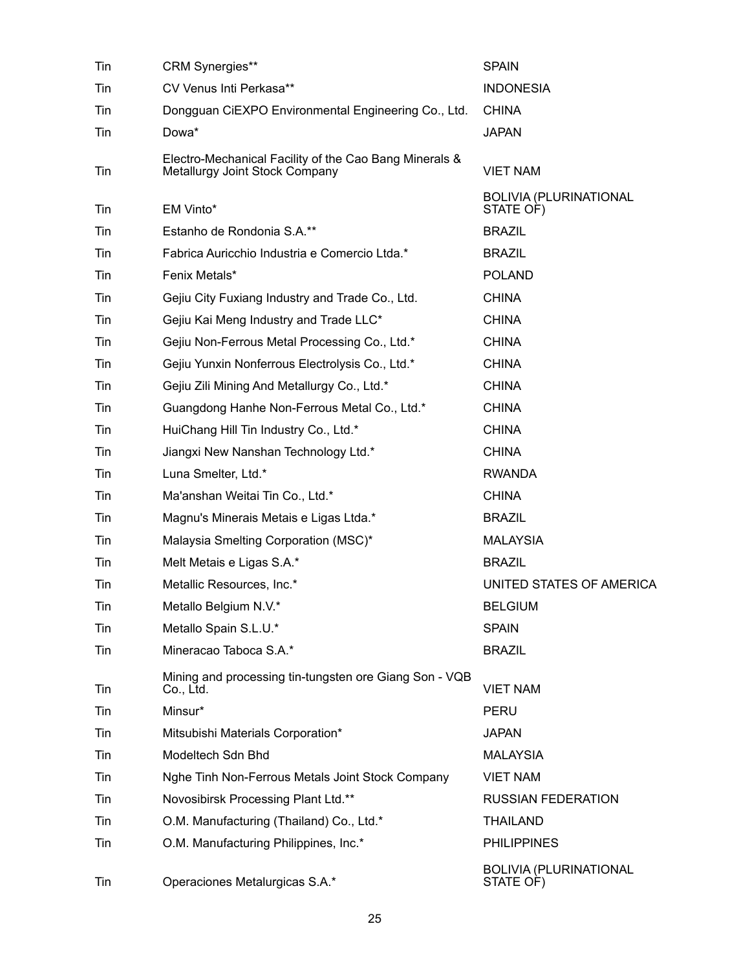| Tin | <b>CRM Synergies**</b>                                                                   | <b>SPAIN</b>                               |
|-----|------------------------------------------------------------------------------------------|--------------------------------------------|
| Tin | CV Venus Inti Perkasa**                                                                  | <b>INDONESIA</b>                           |
| Tin | Dongguan CiEXPO Environmental Engineering Co., Ltd.                                      | <b>CHINA</b>                               |
| Tin | Dowa*                                                                                    | <b>JAPAN</b>                               |
| Tin | Electro-Mechanical Facility of the Cao Bang Minerals &<br>Metallurgy Joint Stock Company | <b>VIET NAM</b>                            |
| Tin | EM Vinto*                                                                                | <b>BOLIVIA (PLURINATIONAL</b><br>STATE OF) |
| Tin | Estanho de Rondonia S.A.**                                                               | <b>BRAZIL</b>                              |
| Tin | Fabrica Auricchio Industria e Comercio Ltda.*                                            | <b>BRAZIL</b>                              |
| Tin | Fenix Metals*                                                                            | <b>POLAND</b>                              |
| Tin | Gejiu City Fuxiang Industry and Trade Co., Ltd.                                          | <b>CHINA</b>                               |
| Tin | Gejiu Kai Meng Industry and Trade LLC*                                                   | <b>CHINA</b>                               |
| Tin | Gejiu Non-Ferrous Metal Processing Co., Ltd.*                                            | <b>CHINA</b>                               |
| Tin | Gejiu Yunxin Nonferrous Electrolysis Co., Ltd.*                                          | <b>CHINA</b>                               |
| Tin | Gejiu Zili Mining And Metallurgy Co., Ltd.*                                              | <b>CHINA</b>                               |
| Tin | Guangdong Hanhe Non-Ferrous Metal Co., Ltd.*                                             | <b>CHINA</b>                               |
| Tin | HuiChang Hill Tin Industry Co., Ltd.*                                                    | <b>CHINA</b>                               |
| Tin | Jiangxi New Nanshan Technology Ltd.*                                                     | <b>CHINA</b>                               |
| Tin | Luna Smelter, Ltd.*                                                                      | <b>RWANDA</b>                              |
| Tin | Ma'anshan Weitai Tin Co., Ltd.*                                                          | <b>CHINA</b>                               |
| Tin | Magnu's Minerais Metais e Ligas Ltda.*                                                   | <b>BRAZIL</b>                              |
| Tin | Malaysia Smelting Corporation (MSC)*                                                     | <b>MALAYSIA</b>                            |
| Tin | Melt Metais e Ligas S.A.*                                                                | <b>BRAZIL</b>                              |
| Tin | Metallic Resources, Inc.*                                                                | UNITED STATES OF AMERICA                   |
| Tin | Metallo Belgium N.V.*                                                                    | <b>BELGIUM</b>                             |
| Tin | Metallo Spain S.L.U.*                                                                    | <b>SPAIN</b>                               |
| Tin | Mineracao Taboca S.A.*                                                                   | <b>BRAZIL</b>                              |
| Tin | Mining and processing tin-tungsten ore Giang Son - VQB<br>Co., Ltd.                      | <b>VIET NAM</b>                            |
| Tin | Minsur*                                                                                  | PERU                                       |
| Tin | Mitsubishi Materials Corporation*                                                        | <b>JAPAN</b>                               |
| Tin | Modeltech Sdn Bhd                                                                        | <b>MALAYSIA</b>                            |
| Tin | Nghe Tinh Non-Ferrous Metals Joint Stock Company                                         | <b>VIET NAM</b>                            |
| Tin | Novosibirsk Processing Plant Ltd.**                                                      | <b>RUSSIAN FEDERATION</b>                  |
| Tin | O.M. Manufacturing (Thailand) Co., Ltd.*                                                 | <b>THAILAND</b>                            |
| Tin | O.M. Manufacturing Philippines, Inc.*                                                    | <b>PHILIPPINES</b>                         |
| Tin | Operaciones Metalurgicas S.A.*                                                           | <b>BOLIVIA (PLURINATIONAL</b><br>STATE OF) |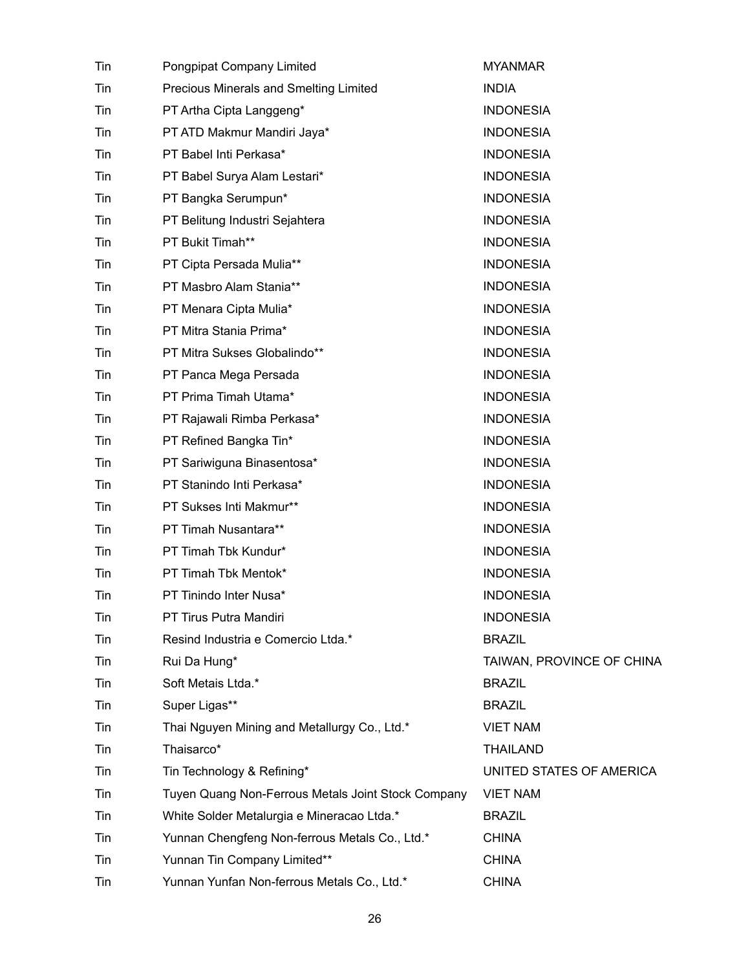| Tin | Pongpipat Company Limited                          | <b>MYANMAR</b>            |
|-----|----------------------------------------------------|---------------------------|
| Tin | Precious Minerals and Smelting Limited             | <b>INDIA</b>              |
| Tin | PT Artha Cipta Langgeng*                           | <b>INDONESIA</b>          |
| Tin | PT ATD Makmur Mandiri Jaya*                        | <b>INDONESIA</b>          |
| Tin | PT Babel Inti Perkasa*                             | <b>INDONESIA</b>          |
| Tin | PT Babel Surya Alam Lestari*                       | <b>INDONESIA</b>          |
| Tin | PT Bangka Serumpun*                                | <b>INDONESIA</b>          |
| Tin | PT Belitung Industri Sejahtera                     | <b>INDONESIA</b>          |
| Tin | PT Bukit Timah**                                   | <b>INDONESIA</b>          |
| Tin | PT Cipta Persada Mulia**                           | <b>INDONESIA</b>          |
| Tin | PT Masbro Alam Stania**                            | <b>INDONESIA</b>          |
| Tin | PT Menara Cipta Mulia*                             | <b>INDONESIA</b>          |
| Tin | PT Mitra Stania Prima*                             | <b>INDONESIA</b>          |
| Tin | PT Mitra Sukses Globalindo**                       | <b>INDONESIA</b>          |
| Tin | PT Panca Mega Persada                              | <b>INDONESIA</b>          |
| Tin | PT Prima Timah Utama*                              | <b>INDONESIA</b>          |
| Tin | PT Rajawali Rimba Perkasa*                         | <b>INDONESIA</b>          |
| Tin | PT Refined Bangka Tin*                             | <b>INDONESIA</b>          |
| Tin | PT Sariwiguna Binasentosa*                         | <b>INDONESIA</b>          |
| Tin | PT Stanindo Inti Perkasa*                          | <b>INDONESIA</b>          |
| Tin | PT Sukses Inti Makmur**                            | <b>INDONESIA</b>          |
| Tin | PT Timah Nusantara**                               | <b>INDONESIA</b>          |
| Tin | PT Timah Tbk Kundur*                               | <b>INDONESIA</b>          |
| Tin | PT Timah Tbk Mentok*                               | <b>INDONESIA</b>          |
| Tin | PT Tinindo Inter Nusa*                             | <b>INDONESIA</b>          |
| Tin | PT Tirus Putra Mandiri                             | <b>INDONESIA</b>          |
| Tin | Resind Industria e Comercio Ltda.*                 | <b>BRAZIL</b>             |
| Tin | Rui Da Hung*                                       | TAIWAN, PROVINCE OF CHINA |
| Tin | Soft Metais Ltda.*                                 | <b>BRAZIL</b>             |
| Tin | Super Ligas**                                      | <b>BRAZIL</b>             |
| Tin | Thai Nguyen Mining and Metallurgy Co., Ltd.*       | <b>VIET NAM</b>           |
| Tin | Thaisarco*                                         | <b>THAILAND</b>           |
| Tin | Tin Technology & Refining*                         | UNITED STATES OF AMERICA  |
| Tin | Tuyen Quang Non-Ferrous Metals Joint Stock Company | <b>VIET NAM</b>           |
| Tin | White Solder Metalurgia e Mineracao Ltda.*         | <b>BRAZIL</b>             |
| Tin | Yunnan Chengfeng Non-ferrous Metals Co., Ltd.*     | <b>CHINA</b>              |
| Tin | Yunnan Tin Company Limited**                       | <b>CHINA</b>              |
| Tin | Yunnan Yunfan Non-ferrous Metals Co., Ltd.*        | <b>CHINA</b>              |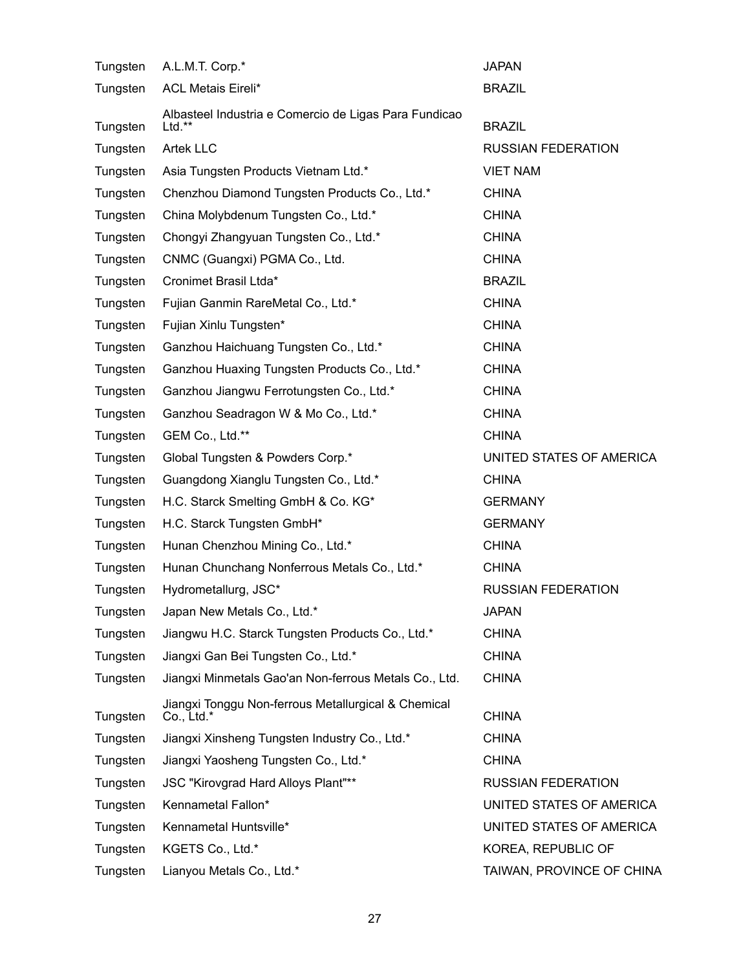| Tungsten | A.L.M.T. Corp.*                                                     | <b>JAPAN</b>              |
|----------|---------------------------------------------------------------------|---------------------------|
| Tungsten | <b>ACL Metais Eireli*</b>                                           | <b>BRAZIL</b>             |
| Tungsten | Albasteel Industria e Comercio de Ligas Para Fundicao<br>$Ltd.*$    | <b>BRAZIL</b>             |
| Tungsten | <b>Artek LLC</b>                                                    | <b>RUSSIAN FEDERATION</b> |
| Tungsten | Asia Tungsten Products Vietnam Ltd.*                                | <b>VIET NAM</b>           |
| Tungsten | Chenzhou Diamond Tungsten Products Co., Ltd.*                       | <b>CHINA</b>              |
| Tungsten | China Molybdenum Tungsten Co., Ltd.*                                | <b>CHINA</b>              |
| Tungsten | Chongyi Zhangyuan Tungsten Co., Ltd.*                               | <b>CHINA</b>              |
| Tungsten | CNMC (Guangxi) PGMA Co., Ltd.                                       | <b>CHINA</b>              |
| Tungsten | Cronimet Brasil Ltda*                                               | <b>BRAZIL</b>             |
| Tungsten | Fujian Ganmin RareMetal Co., Ltd.*                                  | <b>CHINA</b>              |
| Tungsten | Fujian Xinlu Tungsten*                                              | <b>CHINA</b>              |
| Tungsten | Ganzhou Haichuang Tungsten Co., Ltd.*                               | <b>CHINA</b>              |
| Tungsten | Ganzhou Huaxing Tungsten Products Co., Ltd.*                        | <b>CHINA</b>              |
| Tungsten | Ganzhou Jiangwu Ferrotungsten Co., Ltd.*                            | <b>CHINA</b>              |
| Tungsten | Ganzhou Seadragon W & Mo Co., Ltd.*                                 | <b>CHINA</b>              |
| Tungsten | GEM Co., Ltd.**                                                     | <b>CHINA</b>              |
| Tungsten | Global Tungsten & Powders Corp.*                                    | UNITED STATES OF AMERICA  |
| Tungsten | Guangdong Xianglu Tungsten Co., Ltd.*                               | <b>CHINA</b>              |
| Tungsten | H.C. Starck Smelting GmbH & Co. KG*                                 | <b>GERMANY</b>            |
| Tungsten | H.C. Starck Tungsten GmbH*                                          | <b>GERMANY</b>            |
| Tungsten | Hunan Chenzhou Mining Co., Ltd.*                                    | <b>CHINA</b>              |
| Tungsten | Hunan Chunchang Nonferrous Metals Co., Ltd.*                        | <b>CHINA</b>              |
| Tungsten | Hydrometallurg, JSC*                                                | <b>RUSSIAN FEDERATION</b> |
| Tungsten | Japan New Metals Co., Ltd.*                                         | <b>JAPAN</b>              |
| Tungsten | Jiangwu H.C. Starck Tungsten Products Co., Ltd.*                    | <b>CHINA</b>              |
| Tungsten | Jiangxi Gan Bei Tungsten Co., Ltd.*                                 | <b>CHINA</b>              |
| Tungsten | Jiangxi Minmetals Gao'an Non-ferrous Metals Co., Ltd.               | <b>CHINA</b>              |
| Tungsten | Jiangxi Tonggu Non-ferrous Metallurgical & Chemical<br>$Co., Ltd.*$ | <b>CHINA</b>              |
| Tungsten | Jiangxi Xinsheng Tungsten Industry Co., Ltd.*                       | <b>CHINA</b>              |
| Tungsten | Jiangxi Yaosheng Tungsten Co., Ltd.*                                | <b>CHINA</b>              |
| Tungsten | JSC "Kirovgrad Hard Alloys Plant"**                                 | <b>RUSSIAN FEDERATION</b> |
| Tungsten | Kennametal Fallon*                                                  | UNITED STATES OF AMERICA  |
| Tungsten | Kennametal Huntsville*                                              | UNITED STATES OF AMERICA  |
| Tungsten | KGETS Co., Ltd.*                                                    | KOREA, REPUBLIC OF        |
| Tungsten | Lianyou Metals Co., Ltd.*                                           | TAIWAN, PROVINCE OF CHINA |